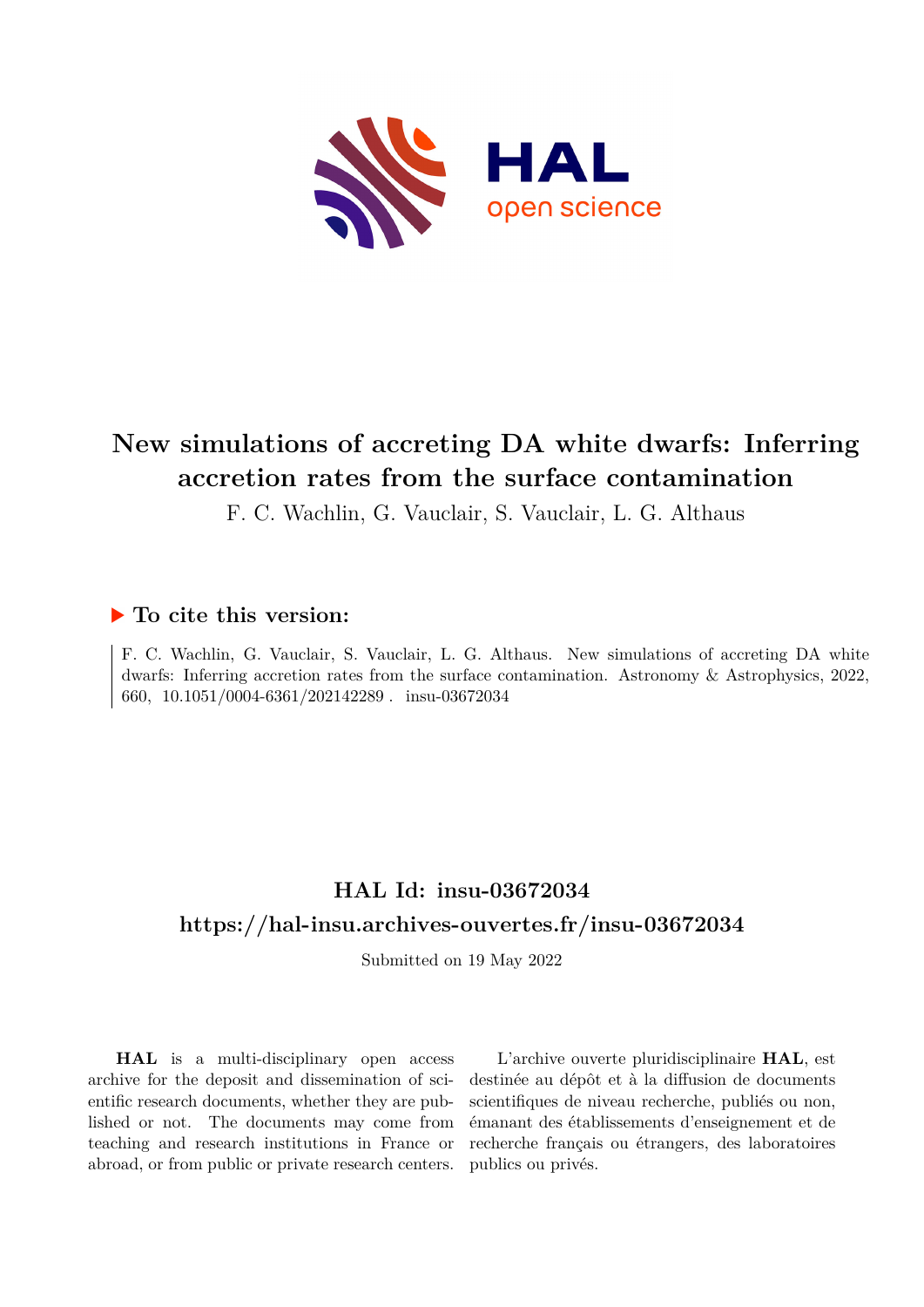

# **New simulations of accreting DA white dwarfs: Inferring accretion rates from the surface contamination**

F. C. Wachlin, G. Vauclair, S. Vauclair, L. G. Althaus

## **To cite this version:**

F. C. Wachlin, G. Vauclair, S. Vauclair, L. G. Althaus. New simulations of accreting DA white dwarfs: Inferring accretion rates from the surface contamination. Astronomy & Astrophysics, 2022, 660, 10.1051/0004-6361/202142289. insu-03672034

# **HAL Id: insu-03672034 <https://hal-insu.archives-ouvertes.fr/insu-03672034>**

Submitted on 19 May 2022

**HAL** is a multi-disciplinary open access archive for the deposit and dissemination of scientific research documents, whether they are published or not. The documents may come from teaching and research institutions in France or abroad, or from public or private research centers.

L'archive ouverte pluridisciplinaire **HAL**, est destinée au dépôt et à la diffusion de documents scientifiques de niveau recherche, publiés ou non, émanant des établissements d'enseignement et de recherche français ou étrangers, des laboratoires publics ou privés.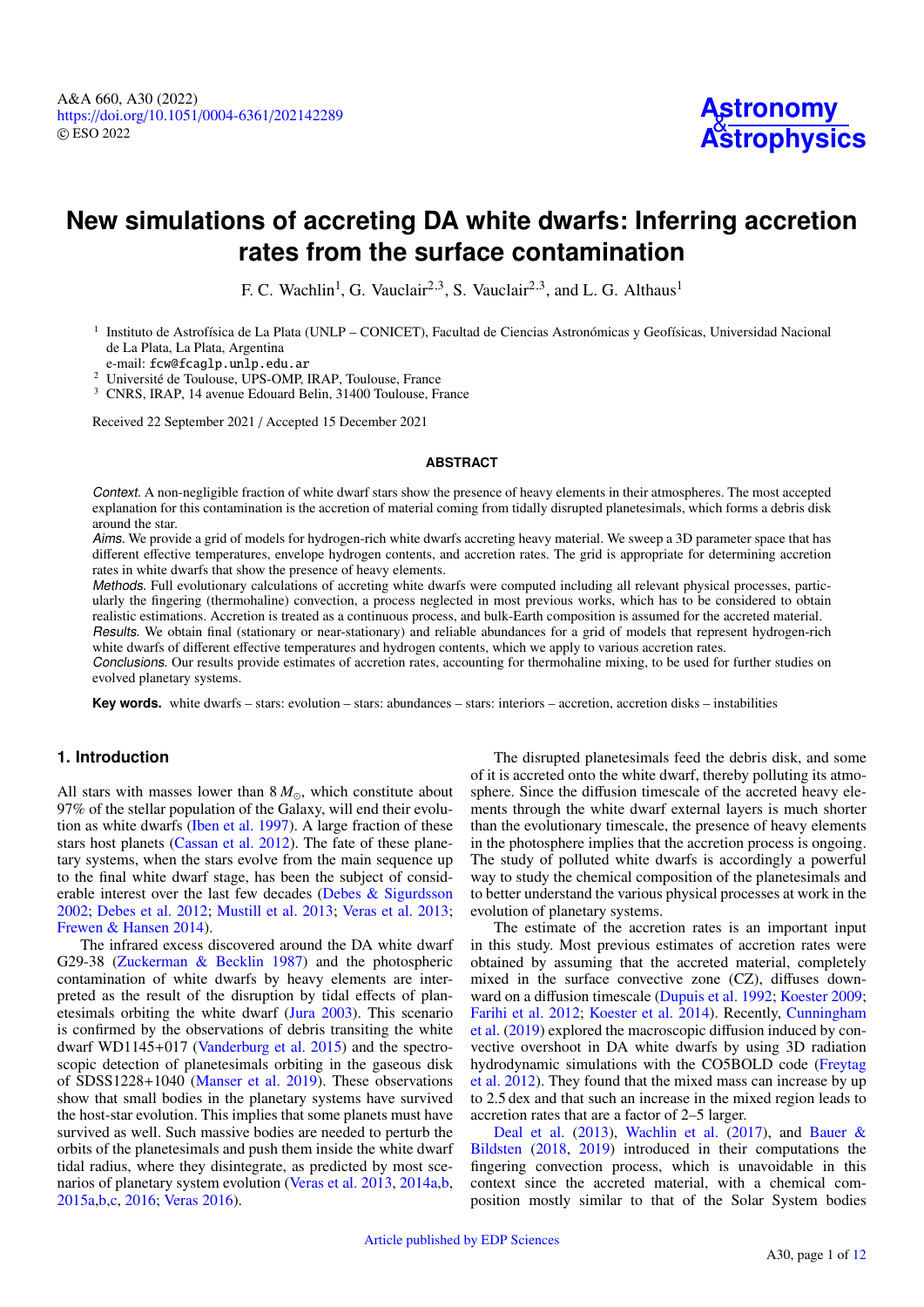# **New simulations of accreting DA white dwarfs: Inferring accretion rates from the surface contamination**

F. C. Wachlin<sup>1</sup>, G. Vauclair<sup>2,3</sup>, S. Vauclair<sup>2,3</sup>, and L. G. Althaus<sup>1</sup>

<sup>1</sup> Instituto de Astrofísica de La Plata (UNLP – CONICET), Facultad de Ciencias Astronómicas y Geofísicas, Universidad Nacional de La Plata, La Plata, Argentina

e-mail: [fcw@fcaglp.unlp.edu.ar](mailto:fcw@fcaglp.unlp.edu.ar)

<sup>2</sup> Université de Toulouse, UPS-OMP, IRAP, Toulouse, France

<sup>3</sup> CNRS, IRAP, 14 avenue Edouard Belin, 31400 Toulouse, France

Received 22 September 2021 / Accepted 15 December 2021

#### **ABSTRACT**

Context. A non-negligible fraction of white dwarf stars show the presence of heavy elements in their atmospheres. The most accepted explanation for this contamination is the accretion of material coming from tidally disrupted planetesimals, which forms a debris disk around the star.

Aims. We provide a grid of models for hydrogen-rich white dwarfs accreting heavy material. We sweep a 3D parameter space that has different effective temperatures, envelope hydrogen contents, and accretion rates. The grid is appropriate for determining accretion rates in white dwarfs that show the presence of heavy elements.

Methods. Full evolutionary calculations of accreting white dwarfs were computed including all relevant physical processes, particularly the fingering (thermohaline) convection, a process neglected in most previous works, which has to be considered to obtain realistic estimations. Accretion is treated as a continuous process, and bulk-Earth composition is assumed for the accreted material. Results. We obtain final (stationary or near-stationary) and reliable abundances for a grid of models that represent hydrogen-rich

white dwarfs of different effective temperatures and hydrogen contents, which we apply to various accretion rates.

Conclusions. Our results provide estimates of accretion rates, accounting for thermohaline mixing, to be used for further studies on evolved planetary systems.

**Key words.** white dwarfs – stars: evolution – stars: abundances – stars: interiors – accretion, accretion disks – instabilities

### **1. Introduction**

All stars with masses lower than  $8 M_{\odot}$ , which constitute about 97% of the stellar population of the Galaxy, will end their evolution as white dwarfs (Iben et al. 1997). A large fraction of these stars host planets (Cassan et al. 2012). The fate of these planetary systems, when the stars evolve from the main sequence up to the final white dwarf stage, has been the subject of considerable interest over the last few decades (Debes & Sigurdsson 2002; Debes et al. 2012; Mustill et al. 2013; Veras et al. 2013; Frewen & Hansen 2014).

The infrared excess discovered around the DA white dwarf G29-38 (Zuckerman & Becklin 1987) and the photospheric contamination of white dwarfs by heavy elements are interpreted as the result of the disruption by tidal effects of planetesimals orbiting the white dwarf (Jura 2003). This scenario is confirmed by the observations of debris transiting the white dwarf WD1145+017 (Vanderburg et al. 2015) and the spectroscopic detection of planetesimals orbiting in the gaseous disk of SDSS1228+1040 (Manser et al. 2019). These observations show that small bodies in the planetary systems have survived the host-star evolution. This implies that some planets must have survived as well. Such massive bodies are needed to perturb the orbits of the planetesimals and push them inside the white dwarf tidal radius, where they disintegrate, as predicted by most scenarios of planetary system evolution (Veras et al. 2013, 2014a,b, 2015a,b,c, 2016; Veras 2016).

The disrupted planetesimals feed the debris disk, and some of it is accreted onto the white dwarf, thereby polluting its atmosphere. Since the diffusion timescale of the accreted heavy elements through the white dwarf external layers is much shorter than the evolutionary timescale, the presence of heavy elements in the photosphere implies that the accretion process is ongoing. The study of polluted white dwarfs is accordingly a powerful way to study the chemical composition of the planetesimals and to better understand the various physical processes at work in the evolution of planetary systems.

The estimate of the accretion rates is an important input in this study. Most previous estimates of accretion rates were obtained by assuming that the accreted material, completely mixed in the surface convective zone (CZ), diffuses downward on a diffusion timescale (Dupuis et al. 1992; Koester 2009; Farihi et al. 2012; Koester et al. 2014). Recently, Cunningham et al. (2019) explored the macroscopic diffusion induced by convective overshoot in DA white dwarfs by using 3D radiation hydrodynamic simulations with the CO5BOLD code (Freytag et al. 2012). They found that the mixed mass can increase by up to 2.5 dex and that such an increase in the mixed region leads to accretion rates that are a factor of 2–5 larger.

Deal et al. (2013), Wachlin et al. (2017), and Bauer & Bildsten (2018, 2019) introduced in their computations the fingering convection process, which is unavoidable in this context since the accreted material, with a chemical composition mostly similar to that of the Solar System bodies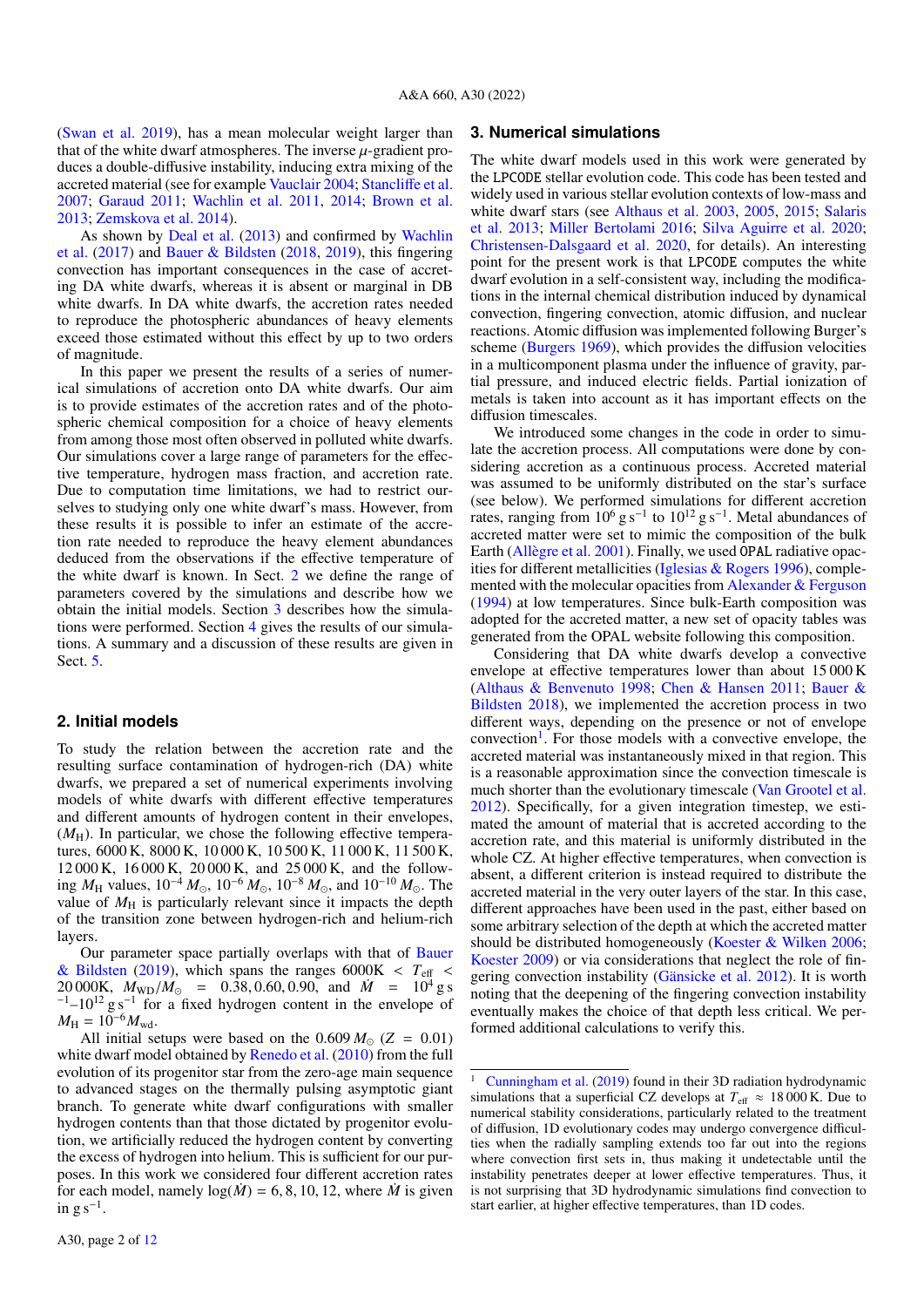(Swan et al. 2019), has a mean molecular weight larger than that of the white dwarf atmospheres. The inverse  $\mu$ -gradient produces a double-diffusive instability, inducing extra mixing of the accreted material (see for example Vauclair 2004; Stancliffe et al. 2007; Garaud 2011; Wachlin et al. 2011, 2014; Brown et al. 2013; Zemskova et al. 2014).

As shown by Deal et al. (2013) and confirmed by Wachlin et al. (2017) and Bauer & Bildsten (2018, 2019), this fingering convection has important consequences in the case of accreting DA white dwarfs, whereas it is absent or marginal in DB white dwarfs. In DA white dwarfs, the accretion rates needed to reproduce the photospheric abundances of heavy elements exceed those estimated without this effect by up to two orders of magnitude.

In this paper we present the results of a series of numerical simulations of accretion onto DA white dwarfs. Our aim is to provide estimates of the accretion rates and of the photospheric chemical composition for a choice of heavy elements from among those most often observed in polluted white dwarfs. Our simulations cover a large range of parameters for the effective temperature, hydrogen mass fraction, and accretion rate. Due to computation time limitations, we had to restrict ourselves to studying only one white dwarf's mass. However, from these results it is possible to infer an estimate of the accretion rate needed to reproduce the heavy element abundances deduced from the observations if the effective temperature of the white dwarf is known. In Sect. 2 we define the range of parameters covered by the simulations and describe how we obtain the initial models. Section 3 describes how the simulations were performed. Section 4 gives the results of our simulations. A summary and a discussion of these results are given in Sect. 5.

#### **2. Initial models**

To study the relation between the accretion rate and the resulting surface contamination of hydrogen-rich (DA) white dwarfs, we prepared a set of numerical experiments involving models of white dwarfs with different effective temperatures and different amounts of hydrogen content in their envelopes,  $(M_H)$ . In particular, we chose the following effective temperatures, 6000 K, 8000 K, 10 000 K, 10 500 K, 11 000 K, 11 500 K, 12 000 K, 16 000 K, 20 000 K, and 25 000 K, and the following  $M_{\rm H}$  values,  $10^{-4} M_{\odot}$ ,  $10^{-6} M_{\odot}$ ,  $10^{-8} M_{\odot}$ , and  $10^{-10} M_{\odot}$ . The value of  $M_H$  is particularly relevant since it impacts the depth of the transition zone between hydrogen-rich and helium-rich layers.

Our parameter space partially overlaps with that of Bauer & Bildsten (2019), which spans the ranges  $6000K < T<sub>eff</sub>$ 20 000K,  $M_{WD}/M_{\odot}$  = 0.38, 0.60, 0.90, and  $\dot{M}$  = 10<sup>4</sup> g s  $^{-1}$ –10<sup>12</sup> g s<sup>-1</sup> for a fixed hydrogen content in the envelope of  $M_{\rm H} = 10^{-6} M_{\rm wd}.$ 

All initial setups were based on the  $0.609 M_{\odot}$  ( $Z = 0.01$ ) white dwarf model obtained by Renedo et al. (2010) from the full evolution of its progenitor star from the zero-age main sequence to advanced stages on the thermally pulsing asymptotic giant branch. To generate white dwarf configurations with smaller hydrogen contents than that those dictated by progenitor evolution, we artificially reduced the hydrogen content by converting the excess of hydrogen into helium. This is sufficient for our purposes. In this work we considered four different accretion rates for each model, namely  $log(M) = 6, 8, 10, 12$ , where *M* is given in  $g s^{-1}$ .

#### **3. Numerical simulations**

The white dwarf models used in this work were generated by the LPCODE stellar evolution code. This code has been tested and widely used in various stellar evolution contexts of low-mass and white dwarf stars (see Althaus et al. 2003, 2005, 2015; Salaris et al. 2013; Miller Bertolami 2016; Silva Aguirre et al. 2020; Christensen-Dalsgaard et al. 2020, for details). An interesting point for the present work is that LPCODE computes the white dwarf evolution in a self-consistent way, including the modifications in the internal chemical distribution induced by dynamical convection, fingering convection, atomic diffusion, and nuclear reactions. Atomic diffusion was implemented following Burger's scheme (Burgers 1969), which provides the diffusion velocities in a multicomponent plasma under the influence of gravity, partial pressure, and induced electric fields. Partial ionization of metals is taken into account as it has important effects on the diffusion timescales.

We introduced some changes in the code in order to simulate the accretion process. All computations were done by considering accretion as a continuous process. Accreted material was assumed to be uniformly distributed on the star's surface (see below). We performed simulations for different accretion rates, ranging from  $10^6$  g s<sup>-1</sup> to  $10^{12}$  g s<sup>-1</sup>. Metal abundances of accreted matter were set to mimic the composition of the bulk Earth (Allègre et al. 2001). Finally, we used OPAL radiative opacities for different metallicities (Iglesias & Rogers 1996), complemented with the molecular opacities from Alexander & Ferguson (1994) at low temperatures. Since bulk-Earth composition was adopted for the accreted matter, a new set of opacity tables was generated from the OPAL website following this composition.

Considering that DA white dwarfs develop a convective envelope at effective temperatures lower than about 15 000 K (Althaus & Benvenuto 1998; Chen & Hansen 2011; Bauer & Bildsten 2018), we implemented the accretion process in two different ways, depending on the presence or not of envelope convection<sup>1</sup>. For those models with a convective envelope, the accreted material was instantaneously mixed in that region. This is a reasonable approximation since the convection timescale is much shorter than the evolutionary timescale (Van Grootel et al. 2012). Specifically, for a given integration timestep, we estimated the amount of material that is accreted according to the accretion rate, and this material is uniformly distributed in the whole CZ. At higher effective temperatures, when convection is absent, a different criterion is instead required to distribute the accreted material in the very outer layers of the star. In this case, different approaches have been used in the past, either based on some arbitrary selection of the depth at which the accreted matter should be distributed homogeneously (Koester & Wilken 2006; Koester 2009) or via considerations that neglect the role of fingering convection instability (Gänsicke et al. 2012). It is worth noting that the deepening of the fingering convection instability eventually makes the choice of that depth less critical. We performed additional calculations to verify this.

Cunningham et al. (2019) found in their 3D radiation hydrodynamic simulations that a superficial CZ develops at  $T_{\text{eff}} \approx 18000 \text{ K}$ . Due to numerical stability considerations, particularly related to the treatment of diffusion, 1D evolutionary codes may undergo convergence difficulties when the radially sampling extends too far out into the regions where convection first sets in, thus making it undetectable until the instability penetrates deeper at lower effective temperatures. Thus, it is not surprising that 3D hydrodynamic simulations find convection to start earlier, at higher effective temperatures, than 1D codes.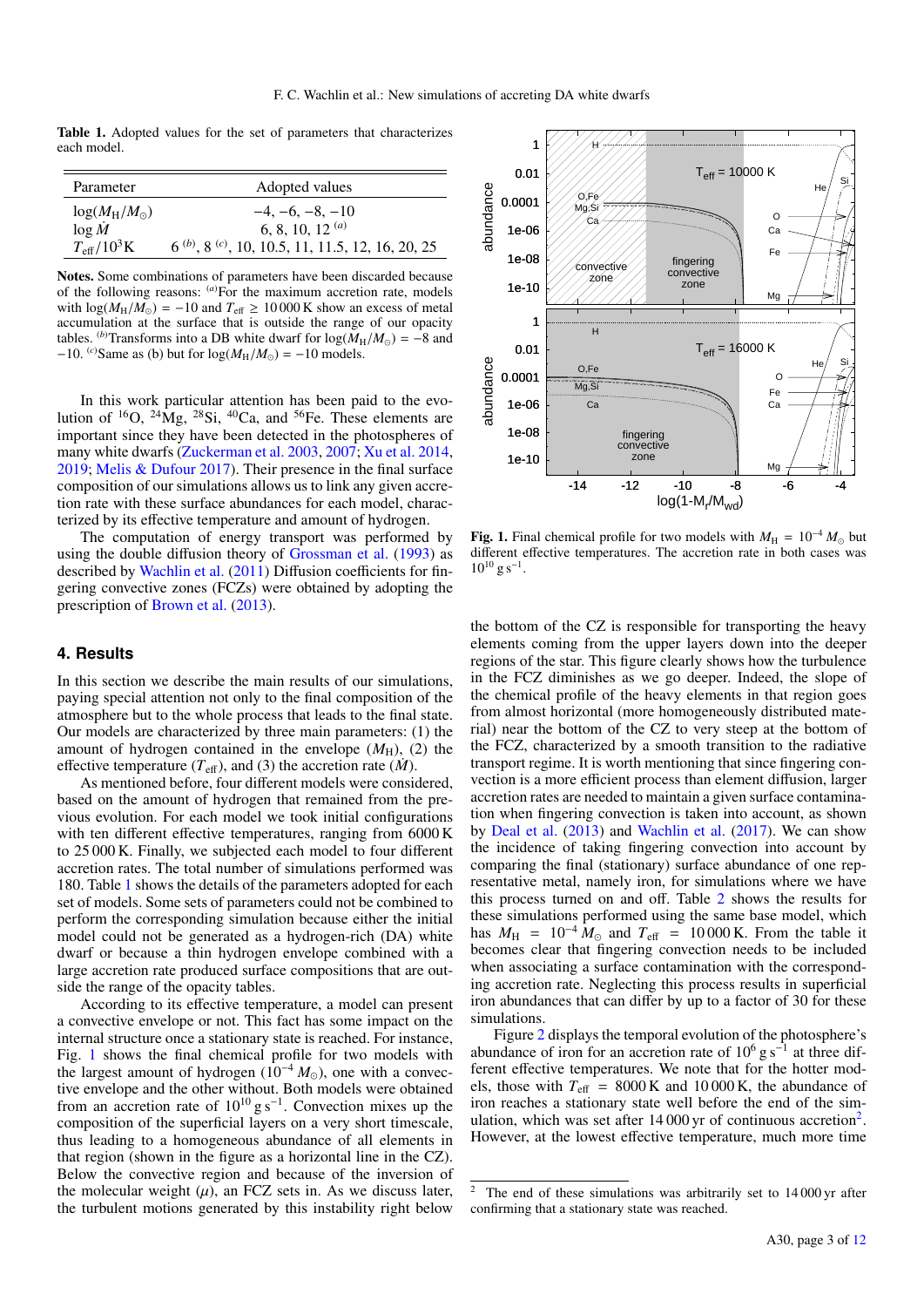Table 1. Adopted values for the set of parameters that characterizes each model.

| Parameter               | Adopted values                                             |
|-------------------------|------------------------------------------------------------|
| $log(M_H/M_{\odot})$    | $-4, -6, -8, -10$                                          |
| $\log M$                | 6, 8, 10, 12 $(a)$                                         |
| $T_{\text{eff}}/10^3$ K | $6^{(b)}$ , $8^{(c)}$ , 10, 10.5, 11, 11.5, 12, 16, 20, 25 |
|                         |                                                            |

Notes. Some combinations of parameters have been discarded because of the following reasons: (*a*)For the maximum accretion rate, models with  $\log(M_H/M_{\odot}) = -10$  and  $T_{\text{eff}} \ge 10000$  K show an excess of metal accumulation at the surface that is outside the range of our opacity tables. <sup>(*b*)</sup>Transforms into a DB white dwarf for  $log(M_H/M_{\odot}) = -8$  and  $-10$ . <sup>(*c*)</sup>Same as (b) but for  $\log(M_H/M_{\odot}) = -10$  models.

In this work particular attention has been paid to the evolution of  ${}^{16}O$ ,  ${}^{24}\text{Mg}$ ,  ${}^{28}\text{Si}$ ,  ${}^{40}\text{Ca}$ , and  ${}^{56}\text{Fe}$ . These elements are important since they have been detected in the photospheres of many white dwarfs (Zuckerman et al. 2003, 2007; Xu et al. 2014, 2019; Melis & Dufour 2017). Their presence in the final surface composition of our simulations allows us to link any given accretion rate with these surface abundances for each model, characterized by its effective temperature and amount of hydrogen.

The computation of energy transport was performed by using the double diffusion theory of Grossman et al. (1993) as described by Wachlin et al. (2011) Diffusion coefficients for fingering convective zones (FCZs) were obtained by adopting the prescription of Brown et al. (2013).

### **4. Results**

In this section we describe the main results of our simulations, paying special attention not only to the final composition of the atmosphere but to the whole process that leads to the final state. Our models are characterized by three main parameters: (1) the amount of hydrogen contained in the envelope  $(M_H)$ , (2) the effective temperature  $(T_{\text{eff}})$ , and (3) the accretion rate (*M*).

As mentioned before, four different models were considered, based on the amount of hydrogen that remained from the previous evolution. For each model we took initial configurations with ten different effective temperatures, ranging from 6000 K to 25 000 K. Finally, we subjected each model to four different accretion rates. The total number of simulations performed was 180. Table 1 shows the details of the parameters adopted for each set of models. Some sets of parameters could not be combined to perform the corresponding simulation because either the initial model could not be generated as a hydrogen-rich (DA) white dwarf or because a thin hydrogen envelope combined with a large accretion rate produced surface compositions that are outside the range of the opacity tables.

According to its effective temperature, a model can present a convective envelope or not. This fact has some impact on the internal structure once a stationary state is reached. For instance, Fig. 1 shows the final chemical profile for two models with the largest amount of hydrogen ( $10^{-4} M_{\odot}$ ), one with a convective envelope and the other without. Both models were obtained from an accretion rate of  $10^{10}$  g s<sup>-1</sup>. Convection mixes up the composition of the superficial layers on a very short timescale, thus leading to a homogeneous abundance of all elements in that region (shown in the figure as a horizontal line in the CZ). Below the convective region and because of the inversion of the molecular weight  $(\mu)$ , an FCZ sets in. As we discuss later, the turbulent motions generated by this instability right below



Fig. 1. Final chemical profile for two models with  $M_H = 10^{-4} M_{\odot}$  but different effective temperatures. The accretion rate in both cases was  $10^{10}$  g s<sup>-1</sup>.

the bottom of the CZ is responsible for transporting the heavy elements coming from the upper layers down into the deeper regions of the star. This figure clearly shows how the turbulence in the FCZ diminishes as we go deeper. Indeed, the slope of the chemical profile of the heavy elements in that region goes from almost horizontal (more homogeneously distributed material) near the bottom of the CZ to very steep at the bottom of the FCZ, characterized by a smooth transition to the radiative transport regime. It is worth mentioning that since fingering convection is a more efficient process than element diffusion, larger accretion rates are needed to maintain a given surface contamination when fingering convection is taken into account, as shown by Deal et al. (2013) and Wachlin et al. (2017). We can show the incidence of taking fingering convection into account by comparing the final (stationary) surface abundance of one representative metal, namely iron, for simulations where we have this process turned on and off. Table 2 shows the results for these simulations performed using the same base model, which has  $M_{\text{H}}$  = 10<sup>-4</sup>  $\dot{M}_{\odot}$  and  $T_{\text{eff}}$  = 10 000 K. From the table it becomes clear that fingering convection needs to be included when associating a surface contamination with the corresponding accretion rate. Neglecting this process results in superficial iron abundances that can differ by up to a factor of 30 for these simulations.

Figure 2 displays the temporal evolution of the photosphere's abundance of iron for an accretion rate of  $10^6$  g s<sup>-1</sup> at three different effective temperatures. We note that for the hotter models, those with  $T_{\text{eff}}$  = 8000 K and 10 000 K, the abundance of iron reaches a stationary state well before the end of the simulation, which was set after 14 000 yr of continuous accretion<sup>2</sup>. However, at the lowest effective temperature, much more time

The end of these simulations was arbitrarily set to 14 000 yr after confirming that a stationary state was reached.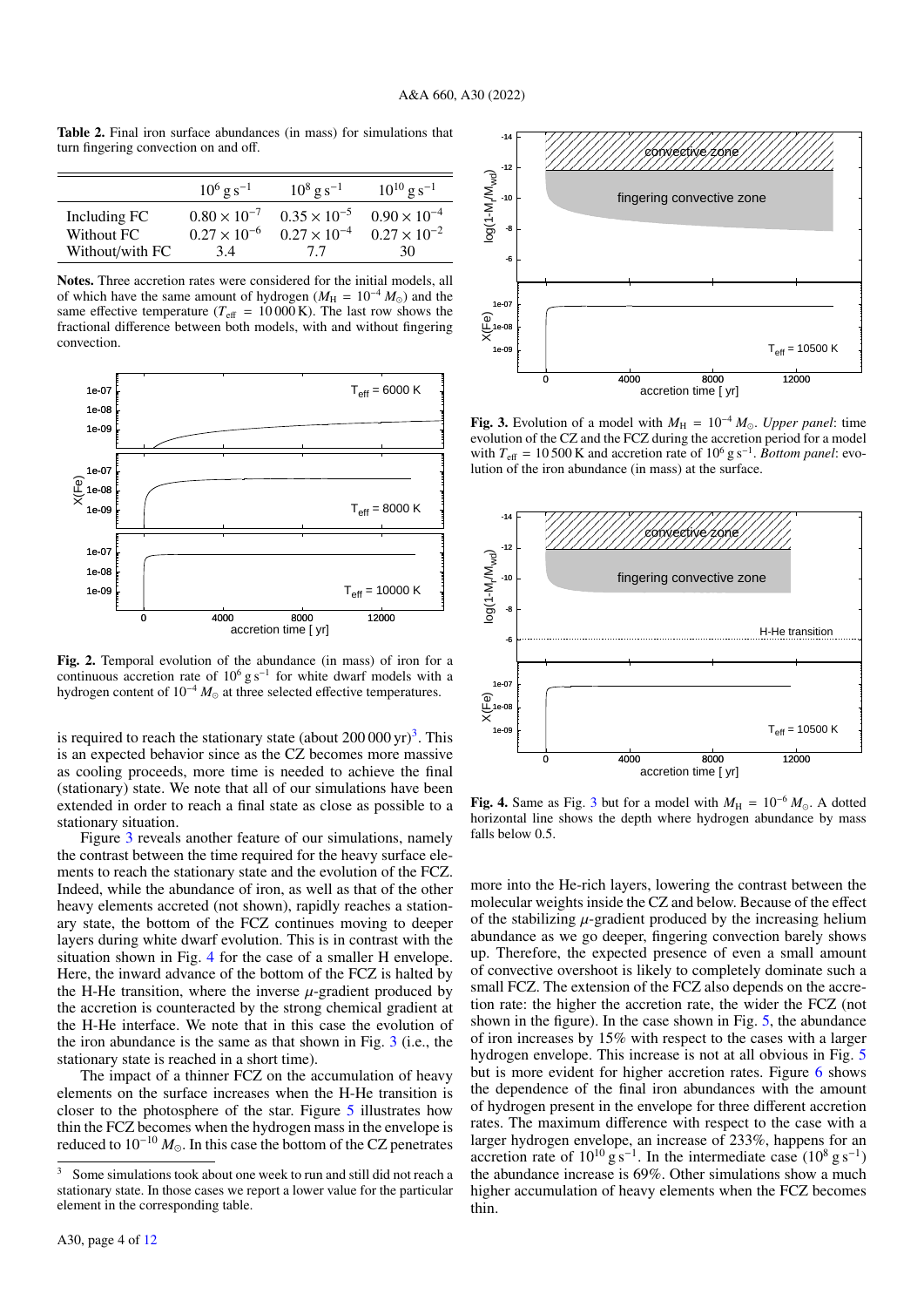Table 2. Final iron surface abundances (in mass) for simulations that turn fingering convection on and off.

|                 | $10^6$ g s <sup>-1</sup> | $10^8$ g s <sup>-1</sup> | $10^{10}$ g s <sup>-1</sup> |
|-----------------|--------------------------|--------------------------|-----------------------------|
| Including FC    | $0.80 \times 10^{-7}$    | $0.35 \times 10^{-5}$    | $0.90 \times 10^{-4}$       |
| Without FC      | $0.27 \times 10^{-6}$    | $0.27 \times 10^{-4}$    | $0.27 \times 10^{-2}$       |
| Without/with FC | 34                       | 77                       | 30                          |

Notes. Three accretion rates were considered for the initial models, all of which have the same amount of hydrogen ( $M_{\text{H}} = 10^{-4} M_{\odot}$ ) and the same effective temperature ( $T_{\text{eff}}$  = 10 000 K). The last row shows the fractional difference between both models, with and without fingering convection.



Fig. 2. Temporal evolution of the abundance (in mass) of iron for a continuous accretion rate of  $10^6$  g s<sup>-1</sup> for white dwarf models with a hydrogen content of 10<sup>-4</sup>  $M_{\odot}$  at three selected effective temperatures.

is required to reach the stationary state (about  $200\,000\,\mathrm{yr}$ )<sup>3</sup>. This is an expected behavior since as the CZ becomes more massive as cooling proceeds, more time is needed to achieve the final (stationary) state. We note that all of our simulations have been extended in order to reach a final state as close as possible to a stationary situation.

Figure 3 reveals another feature of our simulations, namely the contrast between the time required for the heavy surface elements to reach the stationary state and the evolution of the FCZ. Indeed, while the abundance of iron, as well as that of the other heavy elements accreted (not shown), rapidly reaches a stationary state, the bottom of the FCZ continues moving to deeper layers during white dwarf evolution. This is in contrast with the situation shown in Fig. 4 for the case of a smaller H envelope. Here, the inward advance of the bottom of the FCZ is halted by the H-He transition, where the inverse  $\mu$ -gradient produced by the accretion is counteracted by the strong chemical gradient at the H-He interface. We note that in this case the evolution of the iron abundance is the same as that shown in Fig. 3 (i.e., the stationary state is reached in a short time).

The impact of a thinner FCZ on the accumulation of heavy elements on the surface increases when the H-He transition is closer to the photosphere of the star. Figure 5 illustrates how thin the FCZ becomes when the hydrogen mass in the envelope is reduced to  $10^{-10} M_{\odot}$ . In this case the bottom of the CZ penetrates



Fig. 3. Evolution of a model with  $M_H = 10^{-4} M_{\odot}$ . *Upper panel*: time evolution of the CZ and the FCZ during the accretion period for a model with  $T_{\text{eff}} = 10500 \text{ K}$  and accretion rate of  $10^6 \text{ g s}^{-1}$ . *Bottom panel*: evolution of the iron abundance (in mass) at the surface.



Fig. 4. Same as Fig. 3 but for a model with  $M_H = 10^{-6} M_{\odot}$ . A dotted horizontal line shows the depth where hydrogen abundance by mass falls below 0.5.

more into the He-rich layers, lowering the contrast between the molecular weights inside the CZ and below. Because of the effect of the stabilizing  $\mu$ -gradient produced by the increasing helium abundance as we go deeper, fingering convection barely shows up. Therefore, the expected presence of even a small amount of convective overshoot is likely to completely dominate such a small FCZ. The extension of the FCZ also depends on the accretion rate: the higher the accretion rate, the wider the FCZ (not shown in the figure). In the case shown in Fig. 5, the abundance of iron increases by 15% with respect to the cases with a larger hydrogen envelope. This increase is not at all obvious in Fig. 5 but is more evident for higher accretion rates. Figure 6 shows the dependence of the final iron abundances with the amount of hydrogen present in the envelope for three different accretion rates. The maximum difference with respect to the case with a larger hydrogen envelope, an increase of 233%, happens for an accretion rate of  $10^{10}$  g s<sup>-1</sup>. In the intermediate case ( $10^8$  g s<sup>-1</sup>) the abundance increase is 69%. Other simulations show a much higher accumulation of heavy elements when the FCZ becomes thin.

<sup>&</sup>lt;sup>3</sup> Some simulations took about one week to run and still did not reach a stationary state. In those cases we report a lower value for the particular element in the corresponding table.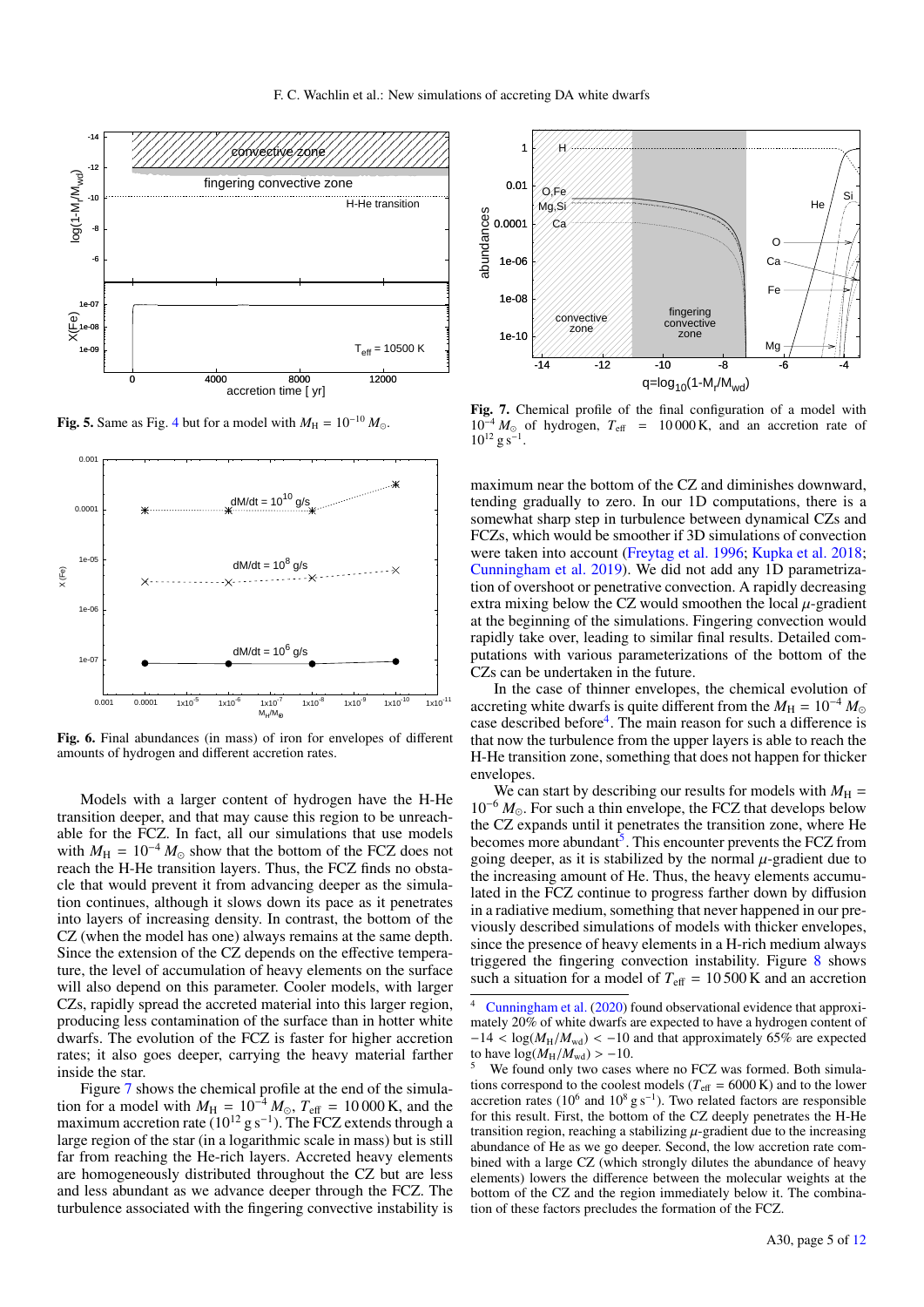

Fig. 5. Same as Fig. 4 but for a model with  $M_H = 10^{-10} M_{\odot}$ .



Fig. 6. Final abundances (in mass) of iron for envelopes of different amounts of hydrogen and different accretion rates.

Models with a larger content of hydrogen have the H-He transition deeper, and that may cause this region to be unreachable for the FCZ. In fact, all our simulations that use models with  $M_H = 10^{-4} M_{\odot}$  show that the bottom of the FCZ does not reach the H-He transition layers. Thus, the FCZ finds no obstacle that would prevent it from advancing deeper as the simulation continues, although it slows down its pace as it penetrates into layers of increasing density. In contrast, the bottom of the CZ (when the model has one) always remains at the same depth. Since the extension of the CZ depends on the effective temperature, the level of accumulation of heavy elements on the surface will also depend on this parameter. Cooler models, with larger CZs, rapidly spread the accreted material into this larger region, producing less contamination of the surface than in hotter white dwarfs. The evolution of the FCZ is faster for higher accretion rates; it also goes deeper, carrying the heavy material farther inside the star.

Figure 7 shows the chemical profile at the end of the simulation for a model with  $M_{\text{H}} = 10^{-4} M_{\odot}$ ,  $T_{\text{eff}} = 10000 \text{ K}$ , and the maximum accretion rate ( $10^{12}$  g s<sup>-1</sup>). The FCZ extends through a large region of the star (in a logarithmic scale in mass) but is still far from reaching the He-rich layers. Accreted heavy elements are homogeneously distributed throughout the CZ but are less and less abundant as we advance deeper through the FCZ. The turbulence associated with the fingering convective instability is



Fig. 7. Chemical profile of the final configuration of a model with  $10^{-4} M_{\odot}$  of hydrogen,  $T_{\text{eff}}$  = 10 000 K, and an accretion rate of  $10^{12}$  g s<sup>-1</sup>.

maximum near the bottom of the CZ and diminishes downward, tending gradually to zero. In our 1D computations, there is a somewhat sharp step in turbulence between dynamical CZs and FCZs, which would be smoother if 3D simulations of convection were taken into account (Freytag et al. 1996; Kupka et al. 2018; Cunningham et al. 2019). We did not add any 1D parametrization of overshoot or penetrative convection. A rapidly decreasing extra mixing below the CZ would smoothen the local  $\mu$ -gradient at the beginning of the simulations. Fingering convection would rapidly take over, leading to similar final results. Detailed computations with various parameterizations of the bottom of the CZs can be undertaken in the future.

In the case of thinner envelopes, the chemical evolution of accreting white dwarfs is quite different from the  $M_H = 10^{-4} M_{\odot}$ case described before<sup>4</sup>. The main reason for such a difference is that now the turbulence from the upper layers is able to reach the H-He transition zone, something that does not happen for thicker envelopes.

We can start by describing our results for models with  $M_H$  = 10<sup>−</sup><sup>6</sup> *M*. For such a thin envelope, the FCZ that develops below the CZ expands until it penetrates the transition zone, where He becomes more abundant<sup>3</sup>. This encounter prevents the FCZ from going deeper, as it is stabilized by the normal  $\mu$ -gradient due to the increasing amount of He. Thus, the heavy elements accumulated in the FCZ continue to progress farther down by diffusion in a radiative medium, something that never happened in our previously described simulations of models with thicker envelopes, since the presence of heavy elements in a H-rich medium always triggered the fingering convection instability. Figure 8 shows such a situation for a model of  $T_{\text{eff}} = 10500 \text{ K}$  and an accretion

Cunningham et al. (2020) found observational evidence that approximately 20% of white dwarfs are expected to have a hydrogen content of  $-14 < log(M_H/M_{\text{wd}}) < -10$  and that approximately 65% are expected to have  $log(M_H/M_{\text{wd}}) > -10$ .

We found only two cases where no FCZ was formed. Both simulations correspond to the coolest models ( $T_{\text{eff}} = 6000 \text{ K}$ ) and to the lower accretion rates ( $10^6$  and  $10^8$  g s<sup>-1</sup>). Two related factors are responsible for this result. First, the bottom of the CZ deeply penetrates the H-He transition region, reaching a stabilizing  $\mu$ -gradient due to the increasing abundance of He as we go deeper. Second, the low accretion rate combined with a large CZ (which strongly dilutes the abundance of heavy elements) lowers the difference between the molecular weights at the bottom of the CZ and the region immediately below it. The combination of these factors precludes the formation of the FCZ.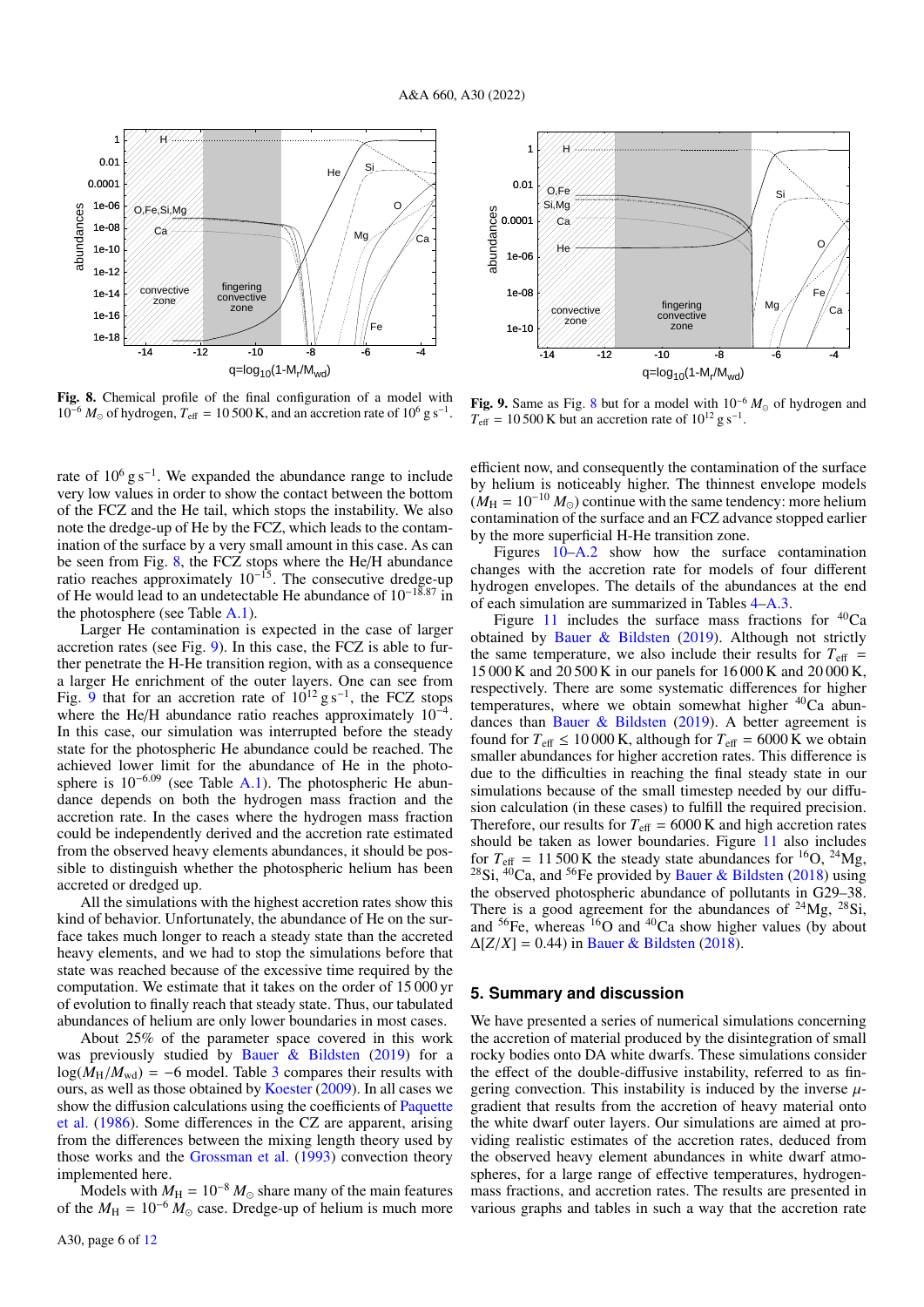

Fig. 8. Chemical profile of the final configuration of a model with  $10^{-6} M_{\odot}$  of hydrogen,  $T_{\text{eff}} = 10500 \text{ K}$ , and an accretion rate of  $10^{6} \text{ g s}^{-1}$ .

rate of  $10^6$  g s<sup>-1</sup>. We expanded the abundance range to include very low values in order to show the contact between the bottom of the FCZ and the He tail, which stops the instability. We also note the dredge-up of He by the FCZ, which leads to the contamination of the surface by a very small amount in this case. As can be seen from Fig. 8, the FCZ stops where the He/H abundance ratio reaches approximately  $10^{-15}$ . The consecutive dredge-up of He would lead to an undetectable He abundance of 10<sup>−</sup>18.<sup>87</sup> in the photosphere (see Table A.1).

Larger He contamination is expected in the case of larger accretion rates (see Fig. 9). In this case, the FCZ is able to further penetrate the H-He transition region, with as a consequence a larger He enrichment of the outer layers. One can see from Fig. 9 that for an accretion rate of  $10^{12}$  g s<sup>-1</sup>, the FCZ stops where the He/H abundance ratio reaches approximately  $10^{-4}$ . In this case, our simulation was interrupted before the steady state for the photospheric He abundance could be reached. The achieved lower limit for the abundance of He in the photosphere is  $10^{-6.09}$  (see Table A.1). The photospheric He abundance depends on both the hydrogen mass fraction and the accretion rate. In the cases where the hydrogen mass fraction could be independently derived and the accretion rate estimated from the observed heavy elements abundances, it should be possible to distinguish whether the photospheric helium has been accreted or dredged up.

All the simulations with the highest accretion rates show this kind of behavior. Unfortunately, the abundance of He on the surface takes much longer to reach a steady state than the accreted heavy elements, and we had to stop the simulations before that state was reached because of the excessive time required by the computation. We estimate that it takes on the order of 15 000 yr of evolution to finally reach that steady state. Thus, our tabulated abundances of helium are only lower boundaries in most cases.

About 25% of the parameter space covered in this work was previously studied by Bauer & Bildsten (2019) for a  $log(M_H/M_{\text{wd}}) = -6$  model. Table 3 compares their results with ours, as well as those obtained by Koester (2009). In all cases we show the diffusion calculations using the coefficients of Paquette et al. (1986). Some differences in the CZ are apparent, arising from the differences between the mixing length theory used by those works and the Grossman et al. (1993) convection theory implemented here.

Models with  $M_H = 10^{-8} M_{\odot}$  share many of the main features of the  $M_H = 10^{-6} M_{\odot}$  case. Dredge-up of helium is much more



Fig. 9. Same as Fig. 8 but for a model with  $10^{-6} M_{\odot}$  of hydrogen and  $T_{\text{eff}}$  = 10 500 K but an accretion rate of 10<sup>12</sup> g s<sup>-1</sup>.

efficient now, and consequently the contamination of the surface by helium is noticeably higher. The thinnest envelope models  $(M_H = 10^{-10} M_\odot)$  continue with the same tendency: more helium contamination of the surface and an FCZ advance stopped earlier by the more superficial H-He transition zone.

Figures 10–A.2 show how the surface contamination changes with the accretion rate for models of four different hydrogen envelopes. The details of the abundances at the end of each simulation are summarized in Tables 4–A.3.

Figure 11 includes the surface mass fractions for  ${}^{40}Ca$ obtained by Bauer & Bildsten (2019). Although not strictly the same temperature, we also include their results for  $T_{\text{eff}}$  = 15 000 K and 20 500 K in our panels for 16 000 K and 20 000 K, respectively. There are some systematic differences for higher temperatures, where we obtain somewhat higher  ${}^{40}Ca$  abundances than Bauer & Bildsten (2019). A better agreement is found for  $T_{\text{eff}} \le 10000 \text{ K}$ , although for  $T_{\text{eff}} = 6000 \text{ K}$  we obtain smaller abundances for higher accretion rates. This difference is due to the difficulties in reaching the final steady state in our simulations because of the small timestep needed by our diffusion calculation (in these cases) to fulfill the required precision. Therefore, our results for  $T_{\text{eff}} = 6000 \text{ K}$  and high accretion rates should be taken as lower boundaries. Figure 11 also includes for  $T_{\text{eff}} = 11500 \text{ K}$  the steady state abundances for <sup>16</sup>O, <sup>24</sup>Mg, <sup>28</sup>Si,  $40^{\circ}$ Ca, and <sup>56</sup>Fe provided by Bauer & Bildsten (2018) using the observed photospheric abundance of pollutants in G29–38. There is a good agreement for the abundances of  $^{24}Mg$ ,  $^{28}Si$ , and  ${}^{56}Fe$ , whereas  ${}^{16}O$  and  ${}^{40}Ca$  show higher values (by about  $\Delta[Z/X] = 0.44$ ) in Bauer & Bildsten (2018).

#### **5. Summary and discussion**

We have presented a series of numerical simulations concerning the accretion of material produced by the disintegration of small rocky bodies onto DA white dwarfs. These simulations consider the effect of the double-diffusive instability, referred to as fingering convection. This instability is induced by the inverse  $\mu$ gradient that results from the accretion of heavy material onto the white dwarf outer layers. Our simulations are aimed at providing realistic estimates of the accretion rates, deduced from the observed heavy element abundances in white dwarf atmospheres, for a large range of effective temperatures, hydrogenmass fractions, and accretion rates. The results are presented in various graphs and tables in such a way that the accretion rate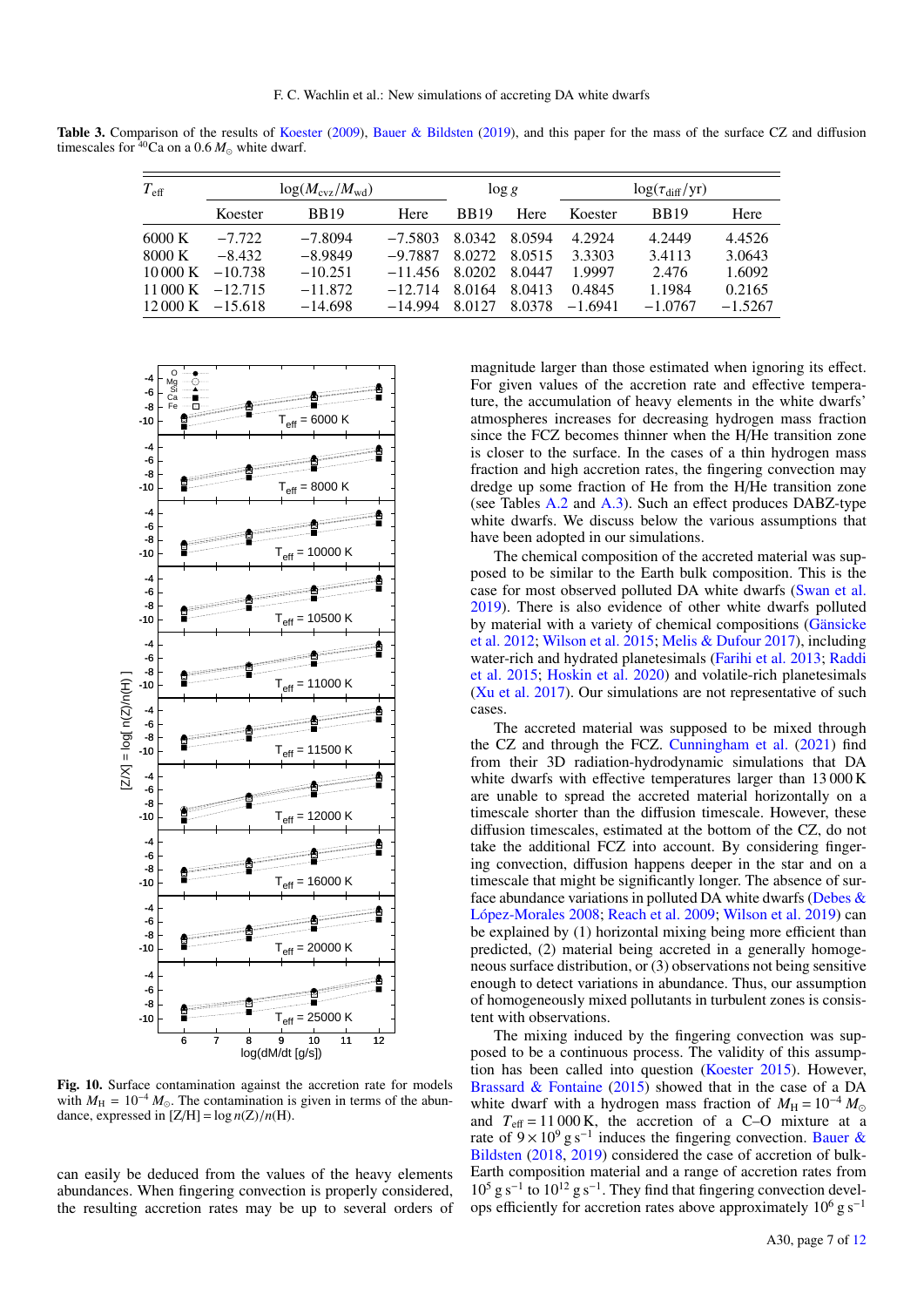Table 3. Comparison of the results of Koester (2009), Bauer & Bildsten (2019), and this paper for the mass of the surface CZ and diffusion timescales for  $40$ Ca on a 0.6  $M_{\odot}$  white dwarf.

| $T_{\rm eff}$             | $log(M_{\rm cvz}/M_{\rm wd})$ |             |           | $\log g$    |        | $\log(\tau_{\rm diff} / {\rm yr})$ |             |           |
|---------------------------|-------------------------------|-------------|-----------|-------------|--------|------------------------------------|-------------|-----------|
|                           | Koester                       | <b>BB19</b> | Here      | <b>BB19</b> | Here   | Koester                            | <b>BB19</b> | Here      |
| 6000 K                    | $-7.722$                      | $-7.8094$   | $-7.5803$ | 8.0342      | 8.0594 | 4.2924                             | 4.2449      | 4.4526    |
| 8000 K                    | $-8.432$                      | $-8.9849$   | $-9.7887$ | 8.0272      | 8.0515 | 3.3303                             | 3.4113      | 3.0643    |
| $10000 \text{ K}$         | $-10.738$                     | $-10.251$   | $-11.456$ | 8.0202      | 8.0447 | 1.9997                             | 2.476       | 1.6092    |
| 11 000 K                  | $-12.715$                     | $-11.872$   | $-12.714$ | 8.0164      | 8.0413 | 0.4845                             | 1.1984      | 0.2165    |
| $12000 \text{ K}$ -15.618 |                               | $-14.698$   | $-14.994$ | 8.0127      | 8.0378 | $-1.6941$                          | $-1.0767$   | $-1.5267$ |



Fig. 10. Surface contamination against the accretion rate for models with  $M_{\text{H}} = 10^{-4} M_{\odot}$ . The contamination is given in terms of the abundance, expressed in  $[Z/H] = \log n(Z)/n(H)$ .

can easily be deduced from the values of the heavy elements abundances. When fingering convection is properly considered, the resulting accretion rates may be up to several orders of

magnitude larger than those estimated when ignoring its effect. For given values of the accretion rate and effective temperature, the accumulation of heavy elements in the white dwarfs' atmospheres increases for decreasing hydrogen mass fraction since the FCZ becomes thinner when the H/He transition zone is closer to the surface. In the cases of a thin hydrogen mass fraction and high accretion rates, the fingering convection may dredge up some fraction of He from the H/He transition zone (see Tables A.2 and A.3). Such an effect produces DABZ-type white dwarfs. We discuss below the various assumptions that have been adopted in our simulations.

The chemical composition of the accreted material was supposed to be similar to the Earth bulk composition. This is the case for most observed polluted DA white dwarfs (Swan et al. 2019). There is also evidence of other white dwarfs polluted by material with a variety of chemical compositions (Gänsicke et al. 2012; Wilson et al. 2015; Melis & Dufour 2017), including water-rich and hydrated planetesimals (Farihi et al. 2013; Raddi et al. 2015; Hoskin et al. 2020) and volatile-rich planetesimals (Xu et al. 2017). Our simulations are not representative of such cases.

The accreted material was supposed to be mixed through the CZ and through the FCZ. Cunningham et al. (2021) find from their 3D radiation-hydrodynamic simulations that DA white dwarfs with effective temperatures larger than 13 000 K are unable to spread the accreted material horizontally on a timescale shorter than the diffusion timescale. However, these diffusion timescales, estimated at the bottom of the CZ, do not take the additional FCZ into account. By considering fingering convection, diffusion happens deeper in the star and on a timescale that might be significantly longer. The absence of surface abundance variations in polluted DA white dwarfs (Debes  $\&$ López-Morales 2008; Reach et al. 2009; Wilson et al. 2019) can be explained by (1) horizontal mixing being more efficient than predicted, (2) material being accreted in a generally homogeneous surface distribution, or (3) observations not being sensitive enough to detect variations in abundance. Thus, our assumption of homogeneously mixed pollutants in turbulent zones is consistent with observations.

The mixing induced by the fingering convection was supposed to be a continuous process. The validity of this assumption has been called into question (Koester 2015). However, Brassard & Fontaine (2015) showed that in the case of a DA white dwarf with a hydrogen mass fraction of  $M_H = 10^{-4} M_{\odot}$ and  $T_{\text{eff}} = 11000 \text{ K}$ , the accretion of a C–O mixture at a rate of  $9 \times 10^9$  g s<sup>-1</sup> induces the fingering convection. Bauer & Bildsten (2018, 2019) considered the case of accretion of bulk-Earth composition material and a range of accretion rates from 10<sup>5</sup> g s<sup>−</sup><sup>1</sup> to 10<sup>12</sup> g s<sup>−</sup><sup>1</sup> . They find that fingering convection develops efficiently for accretion rates above approximately  $10^6$  g s<sup>-1</sup>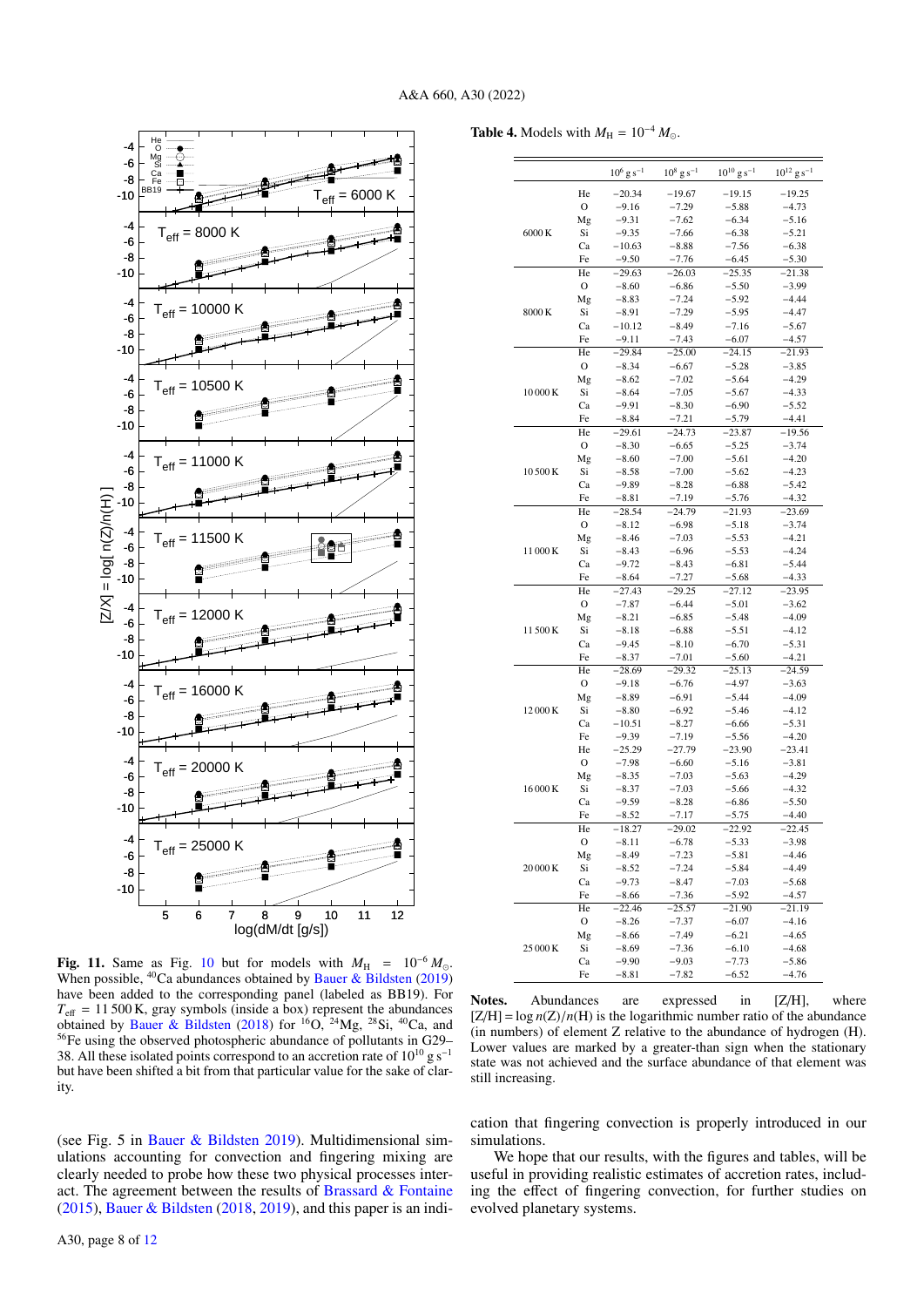

-10 -8 -6 -4

-6



**Table 4.** Models with  $M_{\text{H}} = 10^{-4} M_{\odot}$ .

|          |          | $10^6$ g s <sup>-1</sup> | $10^8$ g s <sup>-1</sup> | $10^{10}$ g s <sup>-1</sup> | $10^{12}$ g s <sup>-1</sup> |
|----------|----------|--------------------------|--------------------------|-----------------------------|-----------------------------|
|          | He       | $-20.34$                 | $-19.67$                 | -19.15                      | -19.25                      |
|          | O        | -9.16                    | $-7.29$                  | $-5.88$                     | $-4.73$                     |
|          | Mg       | $-9.31$                  | -7.62                    | $-6.34$                     | $-5.16$                     |
| 6000K    | Si       | $-9.35$                  | -7.66                    | $-6.38$                     | $-5.21$                     |
|          | Ca       | $-10.63$                 | $-8.88$                  | $-7.56$                     | $-6.38$                     |
|          | Fe       | $-9.50$                  | $-7.76$                  | $-6.45$                     | $-5.30$                     |
|          | He       | $-29.63$                 | $-26.03$                 | $-25.35$                    | $-21.38$                    |
|          | O        | $-8.60$                  | -6.86                    | $-5.50$                     | $-3.99$                     |
|          | Mg       | $-8.83$                  | $-7.24$                  | $-5.92$                     | $-4.44$                     |
| 8000K    | Si       | $-8.91$                  | $-7.29$                  | $-5.95$                     | $-4.47$                     |
|          | Ca       | -10.12                   | -8.49                    | $-7.16$                     | $-5.67$                     |
|          | Fe       | $-9.11$                  | $-7.43$                  | $-6.07$                     | $-4.57$                     |
|          | He       | $-29.84$                 | $-25.00$                 | $-24.15$                    | $-21.93$                    |
|          | O        | $-8.34$                  | $-6.67$                  | $-5.28$                     | $-3.85$                     |
|          | Mg       | $-8.62$                  | $-7.02$                  | $-5.64$                     | $-4.29$                     |
| 10000K   | Si       | -8.64                    | $-7.05$                  | $-5.67$                     | $-4.33$                     |
|          | Ca       | -9.91                    | $-8.30$                  | $-6.90$                     | $-5.52$                     |
|          | Fe       | -8.84                    | $-7.21$                  | $-5.79$                     | $-4.41$                     |
|          | He       | $-29.61$                 | $-24.73$                 | $-23.87$                    | $-19.56$                    |
|          | O        | $-8.30$                  | $-6.65$                  | $-5.25$                     | $-3.74$                     |
|          | Mg       | $-8.60$                  | $-7.00$                  | $-5.61$                     | $-4.20$                     |
| 10500K   | Si       | $-8.58$                  | $-7.00$                  | $-5.62$                     | $-4.23$                     |
|          | Ca       | -9.89                    | $-8.28$                  | $-6.88$                     | $-5.42$                     |
|          | Fe       | $-8.81$                  | -7.19                    | $-5.76$                     | $-4.32$                     |
|          | He       | $-28.54$                 | $-24.79$                 | $-21.93$                    | $-23.69$                    |
|          | O        | $-8.12$                  | $-6.98$                  | $-5.18$                     | $-3.74$                     |
|          | Mg       | $-8.46$                  | $-7.03$                  | $-5.53$                     | $-4.21$                     |
| 11000K   | Si       | $-8.43$                  | $-6.96$                  | $-5.53$                     | $-4.24$                     |
|          | Ca       | $-9.72$                  | $-8.43$                  | $-6.81$                     | $-5.44$                     |
|          | Fe       | $-8.64$                  | $-7.27$                  | $-5.68$                     | $-4.33$                     |
|          | He       | $-27.43$                 | $-29.25$                 | $-27.12$                    | $-23.95$                    |
|          | O        | $-7.87$                  | $-6.44$                  | $-5.01$                     | $-3.62$                     |
|          | Mg       | $-8.21$                  | $-6.85$                  | $-5.48$                     | $-4.09$                     |
| 11500K   | Si       | $-8.18$                  | $-6.88$                  | $-5.51$                     | $-4.12$                     |
|          | Ca       | $-9.45$                  | $-8.10$                  | $-6.70$                     | $-5.31$                     |
|          | Fe       | $-8.37$                  | $-7.01$                  | $-5.60$                     | $-4.21$                     |
|          | He       | $-28.69$                 | $-29.32$                 | $-25.13$                    | $-24.59$                    |
|          | O        | $-9.18$                  | $-6.76$                  | $-4.97$                     | $-3.63$                     |
|          | Mg       | $-8.89$                  | $-6.91$                  | $-5.44$                     | $-4.09$                     |
| 12000K   | Si       | $-8.80$                  | $-6.92$                  | $-5.46$                     | $-4.12$                     |
|          | Ca       | -10.51                   | $-8.27$                  | -6.66                       | $-5.31$                     |
|          | Fe       | $-9.39$                  | $-7.19$                  | $-5.56$                     | $-4.20$                     |
|          | He       | -25.29                   | $-27.79$                 | $-23.90$                    | -23.41                      |
|          | O        | $-7.98$                  | $-6.60$                  | $-5.16$                     | $-3.81$                     |
|          | Mg       | $-8.35$                  | $-7.03$                  | $-5.63$                     | $-4.29$                     |
| 16000K   | Si       | -8.37                    | $-7.03$                  | $-5.66$                     | $-4.32$                     |
|          | Ca       | $-9.59$                  | $-8.28$                  | $-6.86$                     | $-5.50$                     |
|          | Fe       | -8.52                    | -7.17                    | -5.75                       | -4.40                       |
| 20 000 K | He       | $-18.27$                 | $-29.02$                 | $-22.92$                    | $-22.45$                    |
|          | 0        | $-8.11$                  | $-6.78$                  | $-5.33$                     | $-3.98$                     |
|          | Mg       | $-8.49$                  | -7.23                    | $-5.81$                     | -4.46                       |
|          | Si       | -8.52                    | $-7.24$                  | $-5.84$                     | $-4.49$                     |
|          | Ca       | -9.73                    | -8.47                    | $-7.03$                     | $-5.68$                     |
|          | Fe       | -8.66                    | $-7.36$                  | $-5.92$                     | $-4.57$                     |
|          | He       | $-22.46$                 | $-25.57$                 | $-21.90$                    | $-21.19$                    |
|          | O        | $-8.26$                  | -7.37                    | $-6.07$                     | $-4.16$                     |
|          |          |                          |                          |                             |                             |
|          |          | $-8.66$                  | $-7.49$                  | $-6.21$                     | $-4.65$                     |
| 25 000 K | Mg<br>Si |                          |                          |                             |                             |
|          | Ca       | $-8.69$<br>$-9.90$       | -7.36<br>$-9.03$         | $-6.10$<br>$-7.73$          | $-4.68$<br>$-5.86$          |

-8 -10  $\begin{bmatrix} -4 \\ 0 \end{bmatrix}$  T<sub>eff</sub> = 10000 -6 -8 -10  $T_{\text{eff}} = 10500 \text{ K}$ -6 -8 -10  $\frac{-4}{-6}$  T<sub>eff</sub> = 11000 K -6 -8  $[2/X] = log[ n(Z)/n(H)]$ [Z/X] = log[ n(Z)/n(H) ] -10 -4 -6 -8 -10  $\begin{bmatrix} -4 \\ 6 \end{bmatrix}$  T<sub>eff</sub> = 12000 -6 -8 -10  $\begin{bmatrix} -4 \\ 6 \end{bmatrix}$  T<sub>eff</sub> = 16000 -6 -8 -10  $\frac{-4}{-6}$  T<sub>eff</sub> = 20000 K -6 -8 -10 -4  $T_{\text{eff}}$  = 25000 K -6 -8 -10 5 6 7 8 9 10 11 12 log(dM/dt [g/s])

Fig. 11. Same as Fig. 10 but for models with  $M_H = 10^{-6} M_\odot$ . When possible, <sup>40</sup>Ca abundances obtained by Bauer & Bildsten (2019) have been added to the corresponding panel (labeled as BB19). For  $T_{\text{eff}}$  = 11 500 K, gray symbols (inside a box) represent the abundances obtained by Bauer & Bildsten (2018) for <sup>16</sup>O, <sup>24</sup>Mg, <sup>28</sup>Si, <sup>40</sup>Ca, and <sup>56</sup>Fe using the observed photospheric abundance of pollutants in G29– 38. All these isolated points correspond to an accretion rate of  $10^{10}$  g s<sup>-1</sup> but have been shifted a bit from that particular value for the sake of clarity.

(see Fig. 5 in Bauer & Bildsten 2019). Multidimensional simulations accounting for convection and fingering mixing are clearly needed to probe how these two physical processes interact. The agreement between the results of Brassard  $\&$  Fontaine (2015), Bauer & Bildsten (2018, 2019), and this paper is an indi-

Notes. Abundances are expressed in [Z/H], where  $[Z/H] = \log n(Z)/n(H)$  is the logarithmic number ratio of the abundance (in numbers) of element Z relative to the abundance of hydrogen (H). Lower values are marked by a greater-than sign when the stationary state was not achieved and the surface abundance of that element was still increasing.

cation that fingering convection is properly introduced in our simulations.

We hope that our results, with the figures and tables, will be useful in providing realistic estimates of accretion rates, including the effect of fingering convection, for further studies on evolved planetary systems.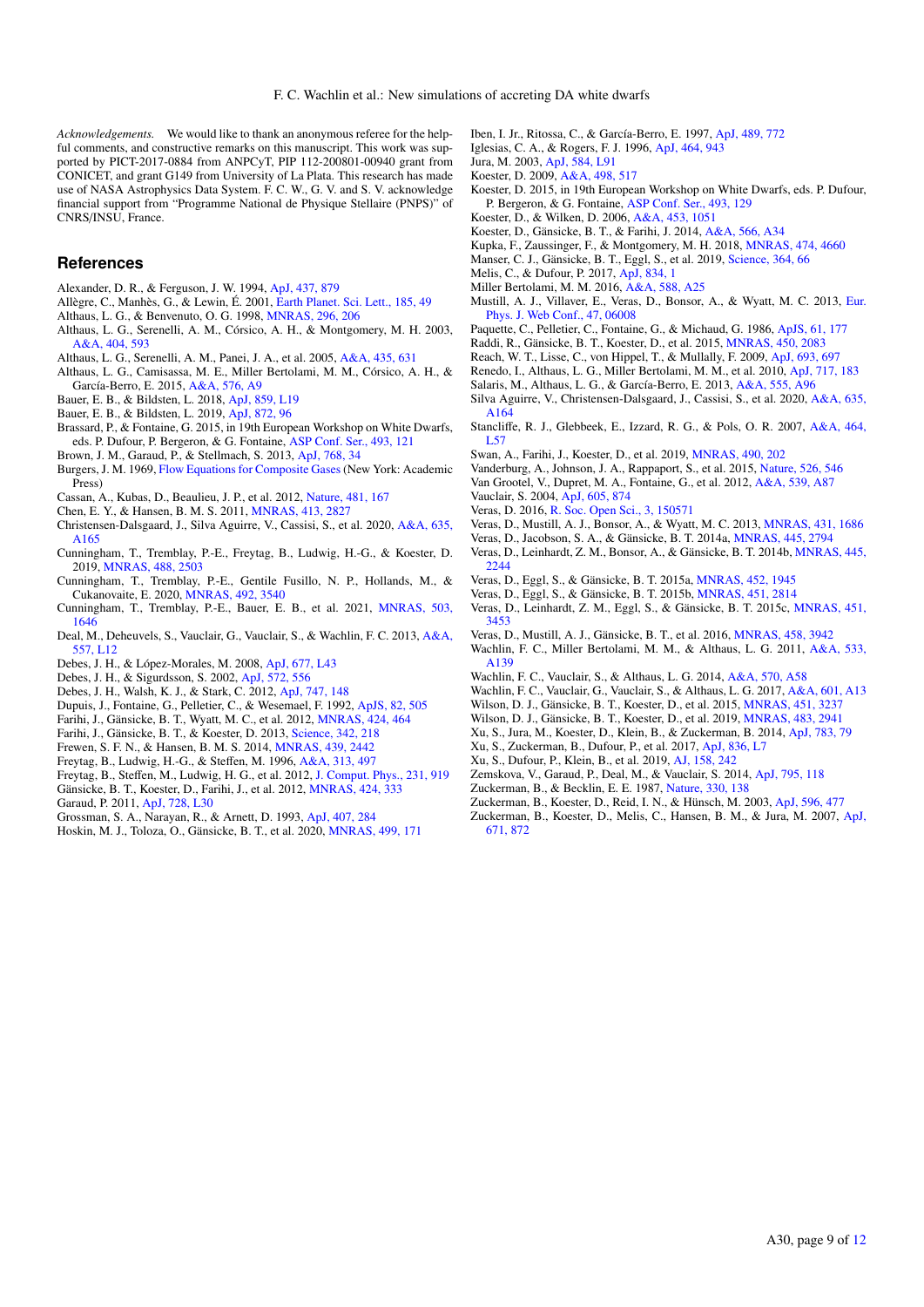*Acknowledgements.* We would like to thank an anonymous referee for the helpful comments, and constructive remarks on this manuscript. This work was supported by PICT-2017-0884 from ANPCyT, PIP 112-200801-00940 grant from CONICET, and grant G149 from University of La Plata. This research has made use of NASA Astrophysics Data System. F. C. W., G. V. and S. V. acknowledge financial support from "Programme National de Physique Stellaire (PNPS)" of CNRS/INSU, France.

### **References**

- Alexander, D. R., & Ferguson, J. W. 1994, [ApJ, 437, 879](http://linker.aanda.org/10.1051/0004-6361/202142289/1)
- Allègre, C., Manhès, G., & Lewin, É. 2001, [Earth Planet. Sci. Lett., 185, 49](http://linker.aanda.org/10.1051/0004-6361/202142289/2)
- Althaus, L. G., & Benvenuto, O. G. 1998, [MNRAS, 296, 206](http://linker.aanda.org/10.1051/0004-6361/202142289/3)
- Althaus, L. G., Serenelli, A. M., Córsico, A. H., & Montgomery, M. H. 2003, [A&A, 404, 593](http://linker.aanda.org/10.1051/0004-6361/202142289/4)
- Althaus, L. G., Serenelli, A. M., Panei, J. A., et al. 2005, [A&A, 435, 631](http://linker.aanda.org/10.1051/0004-6361/202142289/5)
- Althaus, L. G., Camisassa, M. E., Miller Bertolami, M. M., Córsico, A. H., & García-Berro, E. 2015, [A&A, 576, A9](http://linker.aanda.org/10.1051/0004-6361/202142289/6)
- Bauer, E. B., & Bildsten, L. 2018, [ApJ, 859, L19](http://linker.aanda.org/10.1051/0004-6361/202142289/7)
- Bauer, E. B., & Bildsten, L. 2019, [ApJ, 872, 96](http://linker.aanda.org/10.1051/0004-6361/202142289/8)
- Brassard, P., & Fontaine, G. 2015, in 19th European Workshop on White Dwarfs, eds. P. Dufour, P. Bergeron, & G. Fontaine, [ASP Conf. Ser., 493, 121](http://linker.aanda.org/10.1051/0004-6361/202142289/9)
- Brown, J. M., Garaud, P., & Stellmach, S. 2013, [ApJ, 768, 34](http://linker.aanda.org/10.1051/0004-6361/202142289/10)
- Burgers, J. M. 1969, [Flow Equations for Composite Gases](http://linker.aanda.org/10.1051/0004-6361/202142289/11) (New York: Academic Press)
- Cassan, A., Kubas, D., Beaulieu, J. P., et al. 2012, [Nature, 481, 167](http://linker.aanda.org/10.1051/0004-6361/202142289/12)
- Chen, E. Y., & Hansen, B. M. S. 2011, [MNRAS, 413, 2827](http://linker.aanda.org/10.1051/0004-6361/202142289/13)
- Christensen-Dalsgaard, J., Silva Aguirre, V., Cassisi, S., et al. 2020, [A&A, 635,](http://linker.aanda.org/10.1051/0004-6361/202142289/14) [A165](http://linker.aanda.org/10.1051/0004-6361/202142289/14)
- Cunningham, T., Tremblay, P.-E., Freytag, B., Ludwig, H.-G., & Koester, D. 2019, [MNRAS, 488, 2503](http://linker.aanda.org/10.1051/0004-6361/202142289/15)
- Cunningham, T., Tremblay, P.-E., Gentile Fusillo, N. P., Hollands, M., & Cukanovaite, E. 2020, [MNRAS, 492, 3540](http://linker.aanda.org/10.1051/0004-6361/202142289/16)
- Cunningham, T., Tremblay, P.-E., Bauer, E. B., et al. 2021, [MNRAS, 503,](http://linker.aanda.org/10.1051/0004-6361/202142289/17) [1646](http://linker.aanda.org/10.1051/0004-6361/202142289/17)
- Deal, M., Deheuvels, S., Vauclair, G., Vauclair, S., & Wachlin, F. C. 2013, [A&A,](http://linker.aanda.org/10.1051/0004-6361/202142289/18) [557, L12](http://linker.aanda.org/10.1051/0004-6361/202142289/18)
- Debes, J. H., & López-Morales, M. 2008, [ApJ, 677, L43](http://linker.aanda.org/10.1051/0004-6361/202142289/19)
- Debes, J. H., & Sigurdsson, S. 2002, [ApJ, 572, 556](http://linker.aanda.org/10.1051/0004-6361/202142289/20)
- Debes, J. H., Walsh, K. J., & Stark, C. 2012, [ApJ, 747, 148](http://linker.aanda.org/10.1051/0004-6361/202142289/21)
- Dupuis, J., Fontaine, G., Pelletier, C., & Wesemael, F. 1992, [ApJS, 82, 505](http://linker.aanda.org/10.1051/0004-6361/202142289/22)
- Farihi, J., Gänsicke, B. T., Wyatt, M. C., et al. 2012, [MNRAS, 424, 464](http://linker.aanda.org/10.1051/0004-6361/202142289/23)
- Farihi, J., Gänsicke, B. T., & Koester, D. 2013, [Science, 342, 218](http://linker.aanda.org/10.1051/0004-6361/202142289/24)
- Frewen, S. F. N., & Hansen, B. M. S. 2014, [MNRAS, 439, 2442](http://linker.aanda.org/10.1051/0004-6361/202142289/25)
- Freytag, B., Ludwig, H.-G., & Steffen, M. 1996, [A&A, 313, 497](http://linker.aanda.org/10.1051/0004-6361/202142289/26)
- Freytag, B., Steffen, M., Ludwig, H. G., et al. 2012, [J. Comput. Phys., 231, 919](http://linker.aanda.org/10.1051/0004-6361/202142289/27)
- Gänsicke, B. T., Koester, D., Farihi, J., et al. 2012, [MNRAS, 424, 333](http://linker.aanda.org/10.1051/0004-6361/202142289/28) Garaud, P. 2011, [ApJ, 728, L30](http://linker.aanda.org/10.1051/0004-6361/202142289/29)
- Grossman, S. A., Narayan, R., & Arnett, D. 1993, [ApJ, 407, 284](http://linker.aanda.org/10.1051/0004-6361/202142289/30)
- Hoskin, M. J., Toloza, O., Gänsicke, B. T., et al. 2020, [MNRAS, 499, 171](http://linker.aanda.org/10.1051/0004-6361/202142289/31)
- Iben, I. Jr., Ritossa, C., & García-Berro, E. 1997, [ApJ, 489, 772](http://linker.aanda.org/10.1051/0004-6361/202142289/32)
- Iglesias, C. A., & Rogers, F. J. 1996, [ApJ, 464, 943](http://linker.aanda.org/10.1051/0004-6361/202142289/33)
- Jura, M. 2003, [ApJ, 584, L91](http://linker.aanda.org/10.1051/0004-6361/202142289/34)
- Koester, D. 2009, [A&A, 498, 517](http://linker.aanda.org/10.1051/0004-6361/202142289/35)
- Koester, D. 2015, in 19th European Workshop on White Dwarfs, eds. P. Dufour, P. Bergeron, & G. Fontaine, [ASP Conf. Ser., 493, 129](http://linker.aanda.org/10.1051/0004-6361/202142289/36)
- Koester, D., & Wilken, D. 2006, [A&A, 453, 1051](http://linker.aanda.org/10.1051/0004-6361/202142289/37)
- Koester, D., Gänsicke, B. T., & Farihi, J. 2014, [A&A, 566, A34](http://linker.aanda.org/10.1051/0004-6361/202142289/38)
- Kupka, F., Zaussinger, F., & Montgomery, M. H. 2018, [MNRAS, 474, 4660](http://linker.aanda.org/10.1051/0004-6361/202142289/39)
- Manser, C. J., Gänsicke, B. T., Eggl, S., et al. 2019, [Science, 364, 66](http://linker.aanda.org/10.1051/0004-6361/202142289/40)
- Melis, C., & Dufour, P. 2017, [ApJ, 834, 1](http://linker.aanda.org/10.1051/0004-6361/202142289/41)
- Miller Bertolami, M. M. 2016, [A&A, 588, A25](http://linker.aanda.org/10.1051/0004-6361/202142289/42)
- Mustill, A. J., Villaver, E., Veras, D., Bonsor, A., & Wyatt, M. C. 2013, [Eur.](http://linker.aanda.org/10.1051/0004-6361/202142289/43) [Phys. J. Web Conf., 47, 06008](http://linker.aanda.org/10.1051/0004-6361/202142289/43)
- Paquette, C., Pelletier, C., Fontaine, G., & Michaud, G. 1986, [ApJS, 61, 177](http://linker.aanda.org/10.1051/0004-6361/202142289/44)
- Raddi, R., Gänsicke, B. T., Koester, D., et al. 2015, [MNRAS, 450, 2083](http://linker.aanda.org/10.1051/0004-6361/202142289/45)
- Reach, W. T., Lisse, C., von Hippel, T., & Mullally, F. 2009, [ApJ, 693, 697](http://linker.aanda.org/10.1051/0004-6361/202142289/46)
- Renedo, I., Althaus, L. G., Miller Bertolami, M. M., et al. 2010, [ApJ, 717, 183](http://linker.aanda.org/10.1051/0004-6361/202142289/47)
- Salaris, M., Althaus, L. G., & García-Berro, E. 2013, [A&A, 555, A96](http://linker.aanda.org/10.1051/0004-6361/202142289/48) Silva Aguirre, V., Christensen-Dalsgaard, J., Cassisi, S., et al. 2020, [A&A, 635,](http://linker.aanda.org/10.1051/0004-6361/202142289/49)
- [A164](http://linker.aanda.org/10.1051/0004-6361/202142289/49) Stancliffe, R. J., Glebbeek, E., Izzard, R. G., & Pols, O. R. 2007, [A&A, 464,](http://linker.aanda.org/10.1051/0004-6361/202142289/50) [L57](http://linker.aanda.org/10.1051/0004-6361/202142289/50)
- Swan, A., Farihi, J., Koester, D., et al. 2019, [MNRAS, 490, 202](http://linker.aanda.org/10.1051/0004-6361/202142289/51)
- Vanderburg, A., Johnson, J. A., Rappaport, S., et al. 2015, [Nature, 526, 546](http://linker.aanda.org/10.1051/0004-6361/202142289/52)
- Van Grootel, V., Dupret, M. A., Fontaine, G., et al. 2012, [A&A, 539, A87](http://linker.aanda.org/10.1051/0004-6361/202142289/53)
- Vauclair, S. 2004, [ApJ, 605, 874](http://linker.aanda.org/10.1051/0004-6361/202142289/54)
- Veras, D. 2016, [R. Soc. Open Sci., 3, 150571](http://linker.aanda.org/10.1051/0004-6361/202142289/55)
- Veras, D., Mustill, A. J., Bonsor, A., & Wyatt, M. C. 2013, [MNRAS, 431, 1686](http://linker.aanda.org/10.1051/0004-6361/202142289/56)
- Veras, D., Jacobson, S. A., & Gänsicke, B. T. 2014a, [MNRAS, 445, 2794](http://linker.aanda.org/10.1051/0004-6361/202142289/57)
- Veras, D., Leinhardt, Z. M., Bonsor, A., & Gänsicke, B. T. 2014b, [MNRAS, 445,](http://linker.aanda.org/10.1051/0004-6361/202142289/58) [2244](http://linker.aanda.org/10.1051/0004-6361/202142289/58)
- Veras, D., Eggl, S., & Gänsicke, B. T. 2015a, [MNRAS, 452, 1945](http://linker.aanda.org/10.1051/0004-6361/202142289/59)
- Veras, D., Eggl, S., & Gänsicke, B. T. 2015b, [MNRAS, 451, 2814](http://linker.aanda.org/10.1051/0004-6361/202142289/60)
- Veras, D., Leinhardt, Z. M., Eggl, S., & Gänsicke, B. T. 2015c, [MNRAS, 451,](http://linker.aanda.org/10.1051/0004-6361/202142289/61) [3453](http://linker.aanda.org/10.1051/0004-6361/202142289/61)
- Veras, D., Mustill, A. J., Gänsicke, B. T., et al. 2016, [MNRAS, 458, 3942](http://linker.aanda.org/10.1051/0004-6361/202142289/62)
- Wachlin, F. C., Miller Bertolami, M. M., & Althaus, L. G. 2011, [A&A, 533,](http://linker.aanda.org/10.1051/0004-6361/202142289/63)
- [A139](http://linker.aanda.org/10.1051/0004-6361/202142289/63)
- Wachlin, F. C., Vauclair, S., & Althaus, L. G. 2014, [A&A, 570, A58](http://linker.aanda.org/10.1051/0004-6361/202142289/64)
- Wachlin, F. C., Vauclair, G., Vauclair, S., & Althaus, L. G. 2017, [A&A, 601, A13](http://linker.aanda.org/10.1051/0004-6361/202142289/65)
- Wilson, D. J., Gänsicke, B. T., Koester, D., et al. 2015, [MNRAS, 451, 3237](http://linker.aanda.org/10.1051/0004-6361/202142289/66)
- Wilson, D. J., Gänsicke, B. T., Koester, D., et al. 2019, [MNRAS, 483, 2941](http://linker.aanda.org/10.1051/0004-6361/202142289/67)
- Xu, S., Jura, M., Koester, D., Klein, B., & Zuckerman, B. 2014, [ApJ, 783, 79](http://linker.aanda.org/10.1051/0004-6361/202142289/68)
- Xu, S., Zuckerman, B., Dufour, P., et al. 2017, [ApJ, 836, L7](http://linker.aanda.org/10.1051/0004-6361/202142289/69)
- Xu, S., Dufour, P., Klein, B., et al. 2019, [AJ, 158, 242](http://linker.aanda.org/10.1051/0004-6361/202142289/70)
- Zemskova, V., Garaud, P., Deal, M., & Vauclair, S. 2014, [ApJ, 795, 118](http://linker.aanda.org/10.1051/0004-6361/202142289/71)
- Zuckerman, B., & Becklin, E. E. 1987, [Nature, 330, 138](http://linker.aanda.org/10.1051/0004-6361/202142289/72)
- 
- Zuckerman, B., Koester, D., Reid, I. N., & Hünsch, M. 2003, [ApJ, 596, 477](http://linker.aanda.org/10.1051/0004-6361/202142289/73) Zuckerman, B., Koester, D., Melis, C., Hansen, B. M., & Jura, M. 2007, [ApJ,](http://linker.aanda.org/10.1051/0004-6361/202142289/74) [671, 872](http://linker.aanda.org/10.1051/0004-6361/202142289/74)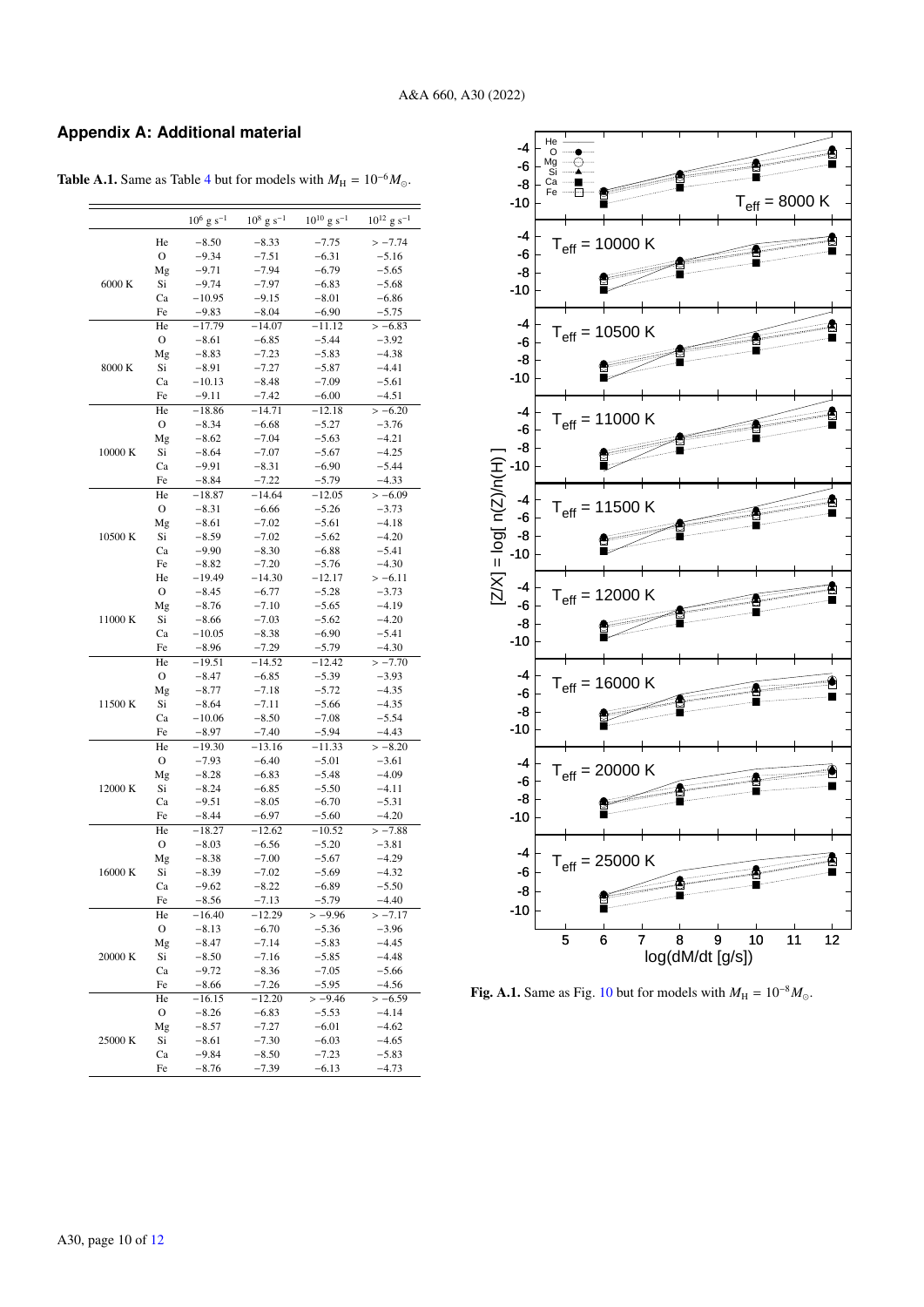## **Appendix A: Additional material**

| $10^8$ g s <sup>-1</sup><br>$10^{10}$ g s <sup>-1</sup><br>$10^6$ g s <sup>-1</sup><br>He<br>$-8.50$<br>$-8.33$<br>$-7.75$<br>$\mathcal{O}$<br>$-9.34$<br>$-7.51$<br>$-6.31$<br>$-5.16$<br>Mg<br>$-9.71$<br>$-7.94$<br>$-6.79$<br>$-5.65$<br>6000 K<br>Si<br>$-9.74$<br>$-7.97$<br>$-6.83$<br>$-5.68$<br>Ca<br>$-10.95$<br>$-9.15$<br>$-6.86$<br>$-8.01$<br>Fe<br>$-9.83$<br>$-8.04$<br>$-6.90$<br>$-5.75$<br>He<br>$-17.79$<br>$-14.07$<br>$-11.12$<br>$>-6.83$<br>$\mathbf O$<br>$-8.61$<br>$-6.85$<br>$-5.44$<br>$-3.92$<br>$-7.23$<br>$-5.83$<br>$-4.38$<br>Mg<br>$-8.83$<br>8000 K<br>Si<br>$-7.27$<br>$-5.87$<br>$-4.41$<br>$-8.91$<br>$-8.48$<br>$-7.09$<br>$-5.61$<br>Ca<br>$-10.13$<br>Fe<br>$-7.42$<br>$-6.00$<br>$-9.11$<br>$-4.51$<br>He<br>$-18.86$<br>$-14.71$<br>$-12.18$<br>$>-6.20$<br>$\mathbf O$<br>$-8.34$<br>$-6.68$<br>$-5.27$<br>$-3.76$<br>Mg<br>$-7.04$<br>$-4.21$<br>$-8.62$<br>$-5.63$<br>10000 K<br>Si<br>$-8.64$<br>$-7.07$<br>$-5.67$<br>$-4.25$<br>Ca<br>$-9.91$<br>$-8.31$<br>$-6.90$<br>$-5.44$<br>Fe<br>$-8.84$<br>$-7.22$<br>$-5.79$<br>$-4.33$<br>He<br>$-18.87$<br>$-14.64$<br>$-12.05$<br>$>-6.09$<br>$\mathcal{O}$<br>$-8.31$<br>$-6.66$<br>$-5.26$<br>$-3.73$<br>Mg<br>$-8.61$<br>$-7.02$<br>$-4.18$<br>$-5.61$<br>Si<br>$-8.59$<br>$-7.02$<br>$-4.20$<br>$-5.62$<br>Ca<br>$-9.90$<br>$-8.30$<br>$-6.88$<br>$-5.41$<br>Fe<br>$-8.82$<br>$-7.20$<br>$-5.76$<br>$-4.30$<br>He<br>$-19.49$<br>$-14.30$<br>$>-6.11$<br>$-12.17$<br>$\mathbf O$<br>$-8.45$<br>$-6.77$<br>$-3.73$<br>$-5.28$<br>Mg<br>$-4.19$<br>$-8.76$<br>$-7.10$<br>$-5.65$<br>11000 K<br>Si<br>$-7.03$<br>$-5.62$<br>$-4.20$<br>$-8.66$<br>Ca<br>$-10.05$<br>$-8.38$<br>$-6.90$<br>$-5.41$<br>Fe<br>$-7.29$<br>$-5.79$<br>$-4.30$<br>$-8.96$<br>He<br>$-19.51$<br>$-14.52$<br>$-12.42$<br>$>-7.70$<br>$\mathcal{O}$<br>$-8.47$<br>$-5.39$<br>$-3.93$<br>$-6.85$<br>Mg<br>$-8.77$<br>$-7.18$<br>$-5.72$<br>$-4.35$<br>11500 K<br>Si<br>$-4.35$<br>$-8.64$<br>$-7.11$<br>$-5.66$<br>Ca<br>$-8.50$<br>$-10.06$<br>$-7.08$<br>$-5.54$<br>Fe<br>$-7.40$<br>$-5.94$<br>$-4.43$<br>$-8.97$<br>He<br>$>-8.20$<br>$-19.30$<br>$-13.16$<br>$-11.33$<br>$\mathcal{O}$<br>$-7.93$<br>$-6.40$<br>$-5.01$<br>$-3.61$<br>Mg<br>$-8.28$<br>$-6.83$<br>$-5.48$<br>$-4.09$<br>Si<br>12000 K<br>$-8.24$<br>$-6.85$<br>$-5.50$<br>$-4.11$<br>Ca<br>$-9.51$<br>$-8.05$<br>$-6.70$<br>$-5.31$<br>Fe<br>$-8.44$<br>$-6.97$<br>$-5.60$<br>$-4.20$<br>He<br>$-12.62$<br>$-10.52$<br>$>-7.88$<br>$-18.27$<br>O<br>$-6.56$<br>$-5.20$<br>$-8.03$<br>$-3.81$<br>Mg<br>$-7.00$<br>$-5.67$<br>$-4.29$<br>$-8.38$<br>16000 K<br>Si<br>$-7.02$<br>$-5.69$<br>$-4.32$<br>$-8.39$<br>Ca<br>$-8.22$<br>$-6.89$<br>$-5.50$<br>-9.62<br>$-8.56$<br>$-7.13$<br>$-5.79$<br>$-4.40$<br>Fe<br>He<br>$-16.40$<br>$-12.29$<br>$>-9.96$<br>O<br>$-8.13$<br>$-6.70$<br>$-5.36$<br>$-3.96$<br>Mg<br>$-7.14$<br>$-5.83$<br>$-4.45$<br>$-8.47$<br>20000 K<br>Si<br>$-8.50$<br>$-7.16$<br>$-5.85$<br>$-4.48$<br>$-9.72$<br>$-8.36$<br>$-5.66$<br>Ca<br>$-7.05$<br>$-8.66$<br>$-7.26$<br>$-5.95$<br>$-4.56$<br>Fe<br>He<br>$-16.15$<br>$-12.20$<br>$>-9.46$<br>O<br>$-4.14$<br>$-8.26$<br>$-6.83$<br>$-5.53$<br>$-7.27$<br>$-6.01$<br>$-4.62$<br>Mg<br>$-8.57$<br>Si<br>$-8.61$<br>$-7.30$<br>$-6.03$<br>-4.65<br>Ca<br>$-9.84$<br>$-8.50$<br>$-7.23$<br>$-5.83$<br>$-8.76$<br>$-7.39$<br>$-6.13$<br>Fe<br>-4.73 |         |  |  |                             |
|----------------------------------------------------------------------------------------------------------------------------------------------------------------------------------------------------------------------------------------------------------------------------------------------------------------------------------------------------------------------------------------------------------------------------------------------------------------------------------------------------------------------------------------------------------------------------------------------------------------------------------------------------------------------------------------------------------------------------------------------------------------------------------------------------------------------------------------------------------------------------------------------------------------------------------------------------------------------------------------------------------------------------------------------------------------------------------------------------------------------------------------------------------------------------------------------------------------------------------------------------------------------------------------------------------------------------------------------------------------------------------------------------------------------------------------------------------------------------------------------------------------------------------------------------------------------------------------------------------------------------------------------------------------------------------------------------------------------------------------------------------------------------------------------------------------------------------------------------------------------------------------------------------------------------------------------------------------------------------------------------------------------------------------------------------------------------------------------------------------------------------------------------------------------------------------------------------------------------------------------------------------------------------------------------------------------------------------------------------------------------------------------------------------------------------------------------------------------------------------------------------------------------------------------------------------------------------------------------------------------------------------------------------------------------------------------------------------------------------------------------------------------------------------------------------------------------------------------------------------------------------------------------------------------------------------------------------------------------------------------------------------------------------------------------------------------------------------------------------------------------------------------------------------------------------------------------------------------------------------------------------------------------------------------------------------------------------------------------------------------|---------|--|--|-----------------------------|
|                                                                                                                                                                                                                                                                                                                                                                                                                                                                                                                                                                                                                                                                                                                                                                                                                                                                                                                                                                                                                                                                                                                                                                                                                                                                                                                                                                                                                                                                                                                                                                                                                                                                                                                                                                                                                                                                                                                                                                                                                                                                                                                                                                                                                                                                                                                                                                                                                                                                                                                                                                                                                                                                                                                                                                                                                                                                                                                                                                                                                                                                                                                                                                                                                                                                                                                                                                      |         |  |  | $10^{12}$ g s <sup>-1</sup> |
|                                                                                                                                                                                                                                                                                                                                                                                                                                                                                                                                                                                                                                                                                                                                                                                                                                                                                                                                                                                                                                                                                                                                                                                                                                                                                                                                                                                                                                                                                                                                                                                                                                                                                                                                                                                                                                                                                                                                                                                                                                                                                                                                                                                                                                                                                                                                                                                                                                                                                                                                                                                                                                                                                                                                                                                                                                                                                                                                                                                                                                                                                                                                                                                                                                                                                                                                                                      |         |  |  | $>-7.74$                    |
|                                                                                                                                                                                                                                                                                                                                                                                                                                                                                                                                                                                                                                                                                                                                                                                                                                                                                                                                                                                                                                                                                                                                                                                                                                                                                                                                                                                                                                                                                                                                                                                                                                                                                                                                                                                                                                                                                                                                                                                                                                                                                                                                                                                                                                                                                                                                                                                                                                                                                                                                                                                                                                                                                                                                                                                                                                                                                                                                                                                                                                                                                                                                                                                                                                                                                                                                                                      |         |  |  |                             |
|                                                                                                                                                                                                                                                                                                                                                                                                                                                                                                                                                                                                                                                                                                                                                                                                                                                                                                                                                                                                                                                                                                                                                                                                                                                                                                                                                                                                                                                                                                                                                                                                                                                                                                                                                                                                                                                                                                                                                                                                                                                                                                                                                                                                                                                                                                                                                                                                                                                                                                                                                                                                                                                                                                                                                                                                                                                                                                                                                                                                                                                                                                                                                                                                                                                                                                                                                                      |         |  |  |                             |
|                                                                                                                                                                                                                                                                                                                                                                                                                                                                                                                                                                                                                                                                                                                                                                                                                                                                                                                                                                                                                                                                                                                                                                                                                                                                                                                                                                                                                                                                                                                                                                                                                                                                                                                                                                                                                                                                                                                                                                                                                                                                                                                                                                                                                                                                                                                                                                                                                                                                                                                                                                                                                                                                                                                                                                                                                                                                                                                                                                                                                                                                                                                                                                                                                                                                                                                                                                      |         |  |  |                             |
|                                                                                                                                                                                                                                                                                                                                                                                                                                                                                                                                                                                                                                                                                                                                                                                                                                                                                                                                                                                                                                                                                                                                                                                                                                                                                                                                                                                                                                                                                                                                                                                                                                                                                                                                                                                                                                                                                                                                                                                                                                                                                                                                                                                                                                                                                                                                                                                                                                                                                                                                                                                                                                                                                                                                                                                                                                                                                                                                                                                                                                                                                                                                                                                                                                                                                                                                                                      |         |  |  |                             |
|                                                                                                                                                                                                                                                                                                                                                                                                                                                                                                                                                                                                                                                                                                                                                                                                                                                                                                                                                                                                                                                                                                                                                                                                                                                                                                                                                                                                                                                                                                                                                                                                                                                                                                                                                                                                                                                                                                                                                                                                                                                                                                                                                                                                                                                                                                                                                                                                                                                                                                                                                                                                                                                                                                                                                                                                                                                                                                                                                                                                                                                                                                                                                                                                                                                                                                                                                                      |         |  |  |                             |
|                                                                                                                                                                                                                                                                                                                                                                                                                                                                                                                                                                                                                                                                                                                                                                                                                                                                                                                                                                                                                                                                                                                                                                                                                                                                                                                                                                                                                                                                                                                                                                                                                                                                                                                                                                                                                                                                                                                                                                                                                                                                                                                                                                                                                                                                                                                                                                                                                                                                                                                                                                                                                                                                                                                                                                                                                                                                                                                                                                                                                                                                                                                                                                                                                                                                                                                                                                      |         |  |  |                             |
|                                                                                                                                                                                                                                                                                                                                                                                                                                                                                                                                                                                                                                                                                                                                                                                                                                                                                                                                                                                                                                                                                                                                                                                                                                                                                                                                                                                                                                                                                                                                                                                                                                                                                                                                                                                                                                                                                                                                                                                                                                                                                                                                                                                                                                                                                                                                                                                                                                                                                                                                                                                                                                                                                                                                                                                                                                                                                                                                                                                                                                                                                                                                                                                                                                                                                                                                                                      |         |  |  |                             |
|                                                                                                                                                                                                                                                                                                                                                                                                                                                                                                                                                                                                                                                                                                                                                                                                                                                                                                                                                                                                                                                                                                                                                                                                                                                                                                                                                                                                                                                                                                                                                                                                                                                                                                                                                                                                                                                                                                                                                                                                                                                                                                                                                                                                                                                                                                                                                                                                                                                                                                                                                                                                                                                                                                                                                                                                                                                                                                                                                                                                                                                                                                                                                                                                                                                                                                                                                                      |         |  |  |                             |
|                                                                                                                                                                                                                                                                                                                                                                                                                                                                                                                                                                                                                                                                                                                                                                                                                                                                                                                                                                                                                                                                                                                                                                                                                                                                                                                                                                                                                                                                                                                                                                                                                                                                                                                                                                                                                                                                                                                                                                                                                                                                                                                                                                                                                                                                                                                                                                                                                                                                                                                                                                                                                                                                                                                                                                                                                                                                                                                                                                                                                                                                                                                                                                                                                                                                                                                                                                      |         |  |  |                             |
|                                                                                                                                                                                                                                                                                                                                                                                                                                                                                                                                                                                                                                                                                                                                                                                                                                                                                                                                                                                                                                                                                                                                                                                                                                                                                                                                                                                                                                                                                                                                                                                                                                                                                                                                                                                                                                                                                                                                                                                                                                                                                                                                                                                                                                                                                                                                                                                                                                                                                                                                                                                                                                                                                                                                                                                                                                                                                                                                                                                                                                                                                                                                                                                                                                                                                                                                                                      |         |  |  |                             |
|                                                                                                                                                                                                                                                                                                                                                                                                                                                                                                                                                                                                                                                                                                                                                                                                                                                                                                                                                                                                                                                                                                                                                                                                                                                                                                                                                                                                                                                                                                                                                                                                                                                                                                                                                                                                                                                                                                                                                                                                                                                                                                                                                                                                                                                                                                                                                                                                                                                                                                                                                                                                                                                                                                                                                                                                                                                                                                                                                                                                                                                                                                                                                                                                                                                                                                                                                                      |         |  |  |                             |
|                                                                                                                                                                                                                                                                                                                                                                                                                                                                                                                                                                                                                                                                                                                                                                                                                                                                                                                                                                                                                                                                                                                                                                                                                                                                                                                                                                                                                                                                                                                                                                                                                                                                                                                                                                                                                                                                                                                                                                                                                                                                                                                                                                                                                                                                                                                                                                                                                                                                                                                                                                                                                                                                                                                                                                                                                                                                                                                                                                                                                                                                                                                                                                                                                                                                                                                                                                      |         |  |  |                             |
|                                                                                                                                                                                                                                                                                                                                                                                                                                                                                                                                                                                                                                                                                                                                                                                                                                                                                                                                                                                                                                                                                                                                                                                                                                                                                                                                                                                                                                                                                                                                                                                                                                                                                                                                                                                                                                                                                                                                                                                                                                                                                                                                                                                                                                                                                                                                                                                                                                                                                                                                                                                                                                                                                                                                                                                                                                                                                                                                                                                                                                                                                                                                                                                                                                                                                                                                                                      |         |  |  |                             |
|                                                                                                                                                                                                                                                                                                                                                                                                                                                                                                                                                                                                                                                                                                                                                                                                                                                                                                                                                                                                                                                                                                                                                                                                                                                                                                                                                                                                                                                                                                                                                                                                                                                                                                                                                                                                                                                                                                                                                                                                                                                                                                                                                                                                                                                                                                                                                                                                                                                                                                                                                                                                                                                                                                                                                                                                                                                                                                                                                                                                                                                                                                                                                                                                                                                                                                                                                                      |         |  |  |                             |
|                                                                                                                                                                                                                                                                                                                                                                                                                                                                                                                                                                                                                                                                                                                                                                                                                                                                                                                                                                                                                                                                                                                                                                                                                                                                                                                                                                                                                                                                                                                                                                                                                                                                                                                                                                                                                                                                                                                                                                                                                                                                                                                                                                                                                                                                                                                                                                                                                                                                                                                                                                                                                                                                                                                                                                                                                                                                                                                                                                                                                                                                                                                                                                                                                                                                                                                                                                      |         |  |  |                             |
|                                                                                                                                                                                                                                                                                                                                                                                                                                                                                                                                                                                                                                                                                                                                                                                                                                                                                                                                                                                                                                                                                                                                                                                                                                                                                                                                                                                                                                                                                                                                                                                                                                                                                                                                                                                                                                                                                                                                                                                                                                                                                                                                                                                                                                                                                                                                                                                                                                                                                                                                                                                                                                                                                                                                                                                                                                                                                                                                                                                                                                                                                                                                                                                                                                                                                                                                                                      |         |  |  |                             |
|                                                                                                                                                                                                                                                                                                                                                                                                                                                                                                                                                                                                                                                                                                                                                                                                                                                                                                                                                                                                                                                                                                                                                                                                                                                                                                                                                                                                                                                                                                                                                                                                                                                                                                                                                                                                                                                                                                                                                                                                                                                                                                                                                                                                                                                                                                                                                                                                                                                                                                                                                                                                                                                                                                                                                                                                                                                                                                                                                                                                                                                                                                                                                                                                                                                                                                                                                                      |         |  |  |                             |
|                                                                                                                                                                                                                                                                                                                                                                                                                                                                                                                                                                                                                                                                                                                                                                                                                                                                                                                                                                                                                                                                                                                                                                                                                                                                                                                                                                                                                                                                                                                                                                                                                                                                                                                                                                                                                                                                                                                                                                                                                                                                                                                                                                                                                                                                                                                                                                                                                                                                                                                                                                                                                                                                                                                                                                                                                                                                                                                                                                                                                                                                                                                                                                                                                                                                                                                                                                      |         |  |  |                             |
|                                                                                                                                                                                                                                                                                                                                                                                                                                                                                                                                                                                                                                                                                                                                                                                                                                                                                                                                                                                                                                                                                                                                                                                                                                                                                                                                                                                                                                                                                                                                                                                                                                                                                                                                                                                                                                                                                                                                                                                                                                                                                                                                                                                                                                                                                                                                                                                                                                                                                                                                                                                                                                                                                                                                                                                                                                                                                                                                                                                                                                                                                                                                                                                                                                                                                                                                                                      |         |  |  |                             |
|                                                                                                                                                                                                                                                                                                                                                                                                                                                                                                                                                                                                                                                                                                                                                                                                                                                                                                                                                                                                                                                                                                                                                                                                                                                                                                                                                                                                                                                                                                                                                                                                                                                                                                                                                                                                                                                                                                                                                                                                                                                                                                                                                                                                                                                                                                                                                                                                                                                                                                                                                                                                                                                                                                                                                                                                                                                                                                                                                                                                                                                                                                                                                                                                                                                                                                                                                                      | 10500 K |  |  |                             |
|                                                                                                                                                                                                                                                                                                                                                                                                                                                                                                                                                                                                                                                                                                                                                                                                                                                                                                                                                                                                                                                                                                                                                                                                                                                                                                                                                                                                                                                                                                                                                                                                                                                                                                                                                                                                                                                                                                                                                                                                                                                                                                                                                                                                                                                                                                                                                                                                                                                                                                                                                                                                                                                                                                                                                                                                                                                                                                                                                                                                                                                                                                                                                                                                                                                                                                                                                                      |         |  |  |                             |
|                                                                                                                                                                                                                                                                                                                                                                                                                                                                                                                                                                                                                                                                                                                                                                                                                                                                                                                                                                                                                                                                                                                                                                                                                                                                                                                                                                                                                                                                                                                                                                                                                                                                                                                                                                                                                                                                                                                                                                                                                                                                                                                                                                                                                                                                                                                                                                                                                                                                                                                                                                                                                                                                                                                                                                                                                                                                                                                                                                                                                                                                                                                                                                                                                                                                                                                                                                      |         |  |  |                             |
|                                                                                                                                                                                                                                                                                                                                                                                                                                                                                                                                                                                                                                                                                                                                                                                                                                                                                                                                                                                                                                                                                                                                                                                                                                                                                                                                                                                                                                                                                                                                                                                                                                                                                                                                                                                                                                                                                                                                                                                                                                                                                                                                                                                                                                                                                                                                                                                                                                                                                                                                                                                                                                                                                                                                                                                                                                                                                                                                                                                                                                                                                                                                                                                                                                                                                                                                                                      |         |  |  |                             |
|                                                                                                                                                                                                                                                                                                                                                                                                                                                                                                                                                                                                                                                                                                                                                                                                                                                                                                                                                                                                                                                                                                                                                                                                                                                                                                                                                                                                                                                                                                                                                                                                                                                                                                                                                                                                                                                                                                                                                                                                                                                                                                                                                                                                                                                                                                                                                                                                                                                                                                                                                                                                                                                                                                                                                                                                                                                                                                                                                                                                                                                                                                                                                                                                                                                                                                                                                                      |         |  |  |                             |
|                                                                                                                                                                                                                                                                                                                                                                                                                                                                                                                                                                                                                                                                                                                                                                                                                                                                                                                                                                                                                                                                                                                                                                                                                                                                                                                                                                                                                                                                                                                                                                                                                                                                                                                                                                                                                                                                                                                                                                                                                                                                                                                                                                                                                                                                                                                                                                                                                                                                                                                                                                                                                                                                                                                                                                                                                                                                                                                                                                                                                                                                                                                                                                                                                                                                                                                                                                      |         |  |  |                             |
|                                                                                                                                                                                                                                                                                                                                                                                                                                                                                                                                                                                                                                                                                                                                                                                                                                                                                                                                                                                                                                                                                                                                                                                                                                                                                                                                                                                                                                                                                                                                                                                                                                                                                                                                                                                                                                                                                                                                                                                                                                                                                                                                                                                                                                                                                                                                                                                                                                                                                                                                                                                                                                                                                                                                                                                                                                                                                                                                                                                                                                                                                                                                                                                                                                                                                                                                                                      |         |  |  |                             |
|                                                                                                                                                                                                                                                                                                                                                                                                                                                                                                                                                                                                                                                                                                                                                                                                                                                                                                                                                                                                                                                                                                                                                                                                                                                                                                                                                                                                                                                                                                                                                                                                                                                                                                                                                                                                                                                                                                                                                                                                                                                                                                                                                                                                                                                                                                                                                                                                                                                                                                                                                                                                                                                                                                                                                                                                                                                                                                                                                                                                                                                                                                                                                                                                                                                                                                                                                                      |         |  |  |                             |
|                                                                                                                                                                                                                                                                                                                                                                                                                                                                                                                                                                                                                                                                                                                                                                                                                                                                                                                                                                                                                                                                                                                                                                                                                                                                                                                                                                                                                                                                                                                                                                                                                                                                                                                                                                                                                                                                                                                                                                                                                                                                                                                                                                                                                                                                                                                                                                                                                                                                                                                                                                                                                                                                                                                                                                                                                                                                                                                                                                                                                                                                                                                                                                                                                                                                                                                                                                      |         |  |  |                             |
|                                                                                                                                                                                                                                                                                                                                                                                                                                                                                                                                                                                                                                                                                                                                                                                                                                                                                                                                                                                                                                                                                                                                                                                                                                                                                                                                                                                                                                                                                                                                                                                                                                                                                                                                                                                                                                                                                                                                                                                                                                                                                                                                                                                                                                                                                                                                                                                                                                                                                                                                                                                                                                                                                                                                                                                                                                                                                                                                                                                                                                                                                                                                                                                                                                                                                                                                                                      |         |  |  |                             |
|                                                                                                                                                                                                                                                                                                                                                                                                                                                                                                                                                                                                                                                                                                                                                                                                                                                                                                                                                                                                                                                                                                                                                                                                                                                                                                                                                                                                                                                                                                                                                                                                                                                                                                                                                                                                                                                                                                                                                                                                                                                                                                                                                                                                                                                                                                                                                                                                                                                                                                                                                                                                                                                                                                                                                                                                                                                                                                                                                                                                                                                                                                                                                                                                                                                                                                                                                                      |         |  |  |                             |
|                                                                                                                                                                                                                                                                                                                                                                                                                                                                                                                                                                                                                                                                                                                                                                                                                                                                                                                                                                                                                                                                                                                                                                                                                                                                                                                                                                                                                                                                                                                                                                                                                                                                                                                                                                                                                                                                                                                                                                                                                                                                                                                                                                                                                                                                                                                                                                                                                                                                                                                                                                                                                                                                                                                                                                                                                                                                                                                                                                                                                                                                                                                                                                                                                                                                                                                                                                      |         |  |  |                             |
|                                                                                                                                                                                                                                                                                                                                                                                                                                                                                                                                                                                                                                                                                                                                                                                                                                                                                                                                                                                                                                                                                                                                                                                                                                                                                                                                                                                                                                                                                                                                                                                                                                                                                                                                                                                                                                                                                                                                                                                                                                                                                                                                                                                                                                                                                                                                                                                                                                                                                                                                                                                                                                                                                                                                                                                                                                                                                                                                                                                                                                                                                                                                                                                                                                                                                                                                                                      |         |  |  |                             |
|                                                                                                                                                                                                                                                                                                                                                                                                                                                                                                                                                                                                                                                                                                                                                                                                                                                                                                                                                                                                                                                                                                                                                                                                                                                                                                                                                                                                                                                                                                                                                                                                                                                                                                                                                                                                                                                                                                                                                                                                                                                                                                                                                                                                                                                                                                                                                                                                                                                                                                                                                                                                                                                                                                                                                                                                                                                                                                                                                                                                                                                                                                                                                                                                                                                                                                                                                                      |         |  |  |                             |
|                                                                                                                                                                                                                                                                                                                                                                                                                                                                                                                                                                                                                                                                                                                                                                                                                                                                                                                                                                                                                                                                                                                                                                                                                                                                                                                                                                                                                                                                                                                                                                                                                                                                                                                                                                                                                                                                                                                                                                                                                                                                                                                                                                                                                                                                                                                                                                                                                                                                                                                                                                                                                                                                                                                                                                                                                                                                                                                                                                                                                                                                                                                                                                                                                                                                                                                                                                      |         |  |  |                             |
|                                                                                                                                                                                                                                                                                                                                                                                                                                                                                                                                                                                                                                                                                                                                                                                                                                                                                                                                                                                                                                                                                                                                                                                                                                                                                                                                                                                                                                                                                                                                                                                                                                                                                                                                                                                                                                                                                                                                                                                                                                                                                                                                                                                                                                                                                                                                                                                                                                                                                                                                                                                                                                                                                                                                                                                                                                                                                                                                                                                                                                                                                                                                                                                                                                                                                                                                                                      |         |  |  |                             |
|                                                                                                                                                                                                                                                                                                                                                                                                                                                                                                                                                                                                                                                                                                                                                                                                                                                                                                                                                                                                                                                                                                                                                                                                                                                                                                                                                                                                                                                                                                                                                                                                                                                                                                                                                                                                                                                                                                                                                                                                                                                                                                                                                                                                                                                                                                                                                                                                                                                                                                                                                                                                                                                                                                                                                                                                                                                                                                                                                                                                                                                                                                                                                                                                                                                                                                                                                                      |         |  |  |                             |
|                                                                                                                                                                                                                                                                                                                                                                                                                                                                                                                                                                                                                                                                                                                                                                                                                                                                                                                                                                                                                                                                                                                                                                                                                                                                                                                                                                                                                                                                                                                                                                                                                                                                                                                                                                                                                                                                                                                                                                                                                                                                                                                                                                                                                                                                                                                                                                                                                                                                                                                                                                                                                                                                                                                                                                                                                                                                                                                                                                                                                                                                                                                                                                                                                                                                                                                                                                      |         |  |  |                             |
|                                                                                                                                                                                                                                                                                                                                                                                                                                                                                                                                                                                                                                                                                                                                                                                                                                                                                                                                                                                                                                                                                                                                                                                                                                                                                                                                                                                                                                                                                                                                                                                                                                                                                                                                                                                                                                                                                                                                                                                                                                                                                                                                                                                                                                                                                                                                                                                                                                                                                                                                                                                                                                                                                                                                                                                                                                                                                                                                                                                                                                                                                                                                                                                                                                                                                                                                                                      |         |  |  |                             |
|                                                                                                                                                                                                                                                                                                                                                                                                                                                                                                                                                                                                                                                                                                                                                                                                                                                                                                                                                                                                                                                                                                                                                                                                                                                                                                                                                                                                                                                                                                                                                                                                                                                                                                                                                                                                                                                                                                                                                                                                                                                                                                                                                                                                                                                                                                                                                                                                                                                                                                                                                                                                                                                                                                                                                                                                                                                                                                                                                                                                                                                                                                                                                                                                                                                                                                                                                                      |         |  |  |                             |
|                                                                                                                                                                                                                                                                                                                                                                                                                                                                                                                                                                                                                                                                                                                                                                                                                                                                                                                                                                                                                                                                                                                                                                                                                                                                                                                                                                                                                                                                                                                                                                                                                                                                                                                                                                                                                                                                                                                                                                                                                                                                                                                                                                                                                                                                                                                                                                                                                                                                                                                                                                                                                                                                                                                                                                                                                                                                                                                                                                                                                                                                                                                                                                                                                                                                                                                                                                      |         |  |  |                             |
|                                                                                                                                                                                                                                                                                                                                                                                                                                                                                                                                                                                                                                                                                                                                                                                                                                                                                                                                                                                                                                                                                                                                                                                                                                                                                                                                                                                                                                                                                                                                                                                                                                                                                                                                                                                                                                                                                                                                                                                                                                                                                                                                                                                                                                                                                                                                                                                                                                                                                                                                                                                                                                                                                                                                                                                                                                                                                                                                                                                                                                                                                                                                                                                                                                                                                                                                                                      |         |  |  |                             |
|                                                                                                                                                                                                                                                                                                                                                                                                                                                                                                                                                                                                                                                                                                                                                                                                                                                                                                                                                                                                                                                                                                                                                                                                                                                                                                                                                                                                                                                                                                                                                                                                                                                                                                                                                                                                                                                                                                                                                                                                                                                                                                                                                                                                                                                                                                                                                                                                                                                                                                                                                                                                                                                                                                                                                                                                                                                                                                                                                                                                                                                                                                                                                                                                                                                                                                                                                                      |         |  |  |                             |
|                                                                                                                                                                                                                                                                                                                                                                                                                                                                                                                                                                                                                                                                                                                                                                                                                                                                                                                                                                                                                                                                                                                                                                                                                                                                                                                                                                                                                                                                                                                                                                                                                                                                                                                                                                                                                                                                                                                                                                                                                                                                                                                                                                                                                                                                                                                                                                                                                                                                                                                                                                                                                                                                                                                                                                                                                                                                                                                                                                                                                                                                                                                                                                                                                                                                                                                                                                      |         |  |  |                             |
|                                                                                                                                                                                                                                                                                                                                                                                                                                                                                                                                                                                                                                                                                                                                                                                                                                                                                                                                                                                                                                                                                                                                                                                                                                                                                                                                                                                                                                                                                                                                                                                                                                                                                                                                                                                                                                                                                                                                                                                                                                                                                                                                                                                                                                                                                                                                                                                                                                                                                                                                                                                                                                                                                                                                                                                                                                                                                                                                                                                                                                                                                                                                                                                                                                                                                                                                                                      |         |  |  |                             |
|                                                                                                                                                                                                                                                                                                                                                                                                                                                                                                                                                                                                                                                                                                                                                                                                                                                                                                                                                                                                                                                                                                                                                                                                                                                                                                                                                                                                                                                                                                                                                                                                                                                                                                                                                                                                                                                                                                                                                                                                                                                                                                                                                                                                                                                                                                                                                                                                                                                                                                                                                                                                                                                                                                                                                                                                                                                                                                                                                                                                                                                                                                                                                                                                                                                                                                                                                                      |         |  |  |                             |
|                                                                                                                                                                                                                                                                                                                                                                                                                                                                                                                                                                                                                                                                                                                                                                                                                                                                                                                                                                                                                                                                                                                                                                                                                                                                                                                                                                                                                                                                                                                                                                                                                                                                                                                                                                                                                                                                                                                                                                                                                                                                                                                                                                                                                                                                                                                                                                                                                                                                                                                                                                                                                                                                                                                                                                                                                                                                                                                                                                                                                                                                                                                                                                                                                                                                                                                                                                      |         |  |  | $>-7.17$                    |
|                                                                                                                                                                                                                                                                                                                                                                                                                                                                                                                                                                                                                                                                                                                                                                                                                                                                                                                                                                                                                                                                                                                                                                                                                                                                                                                                                                                                                                                                                                                                                                                                                                                                                                                                                                                                                                                                                                                                                                                                                                                                                                                                                                                                                                                                                                                                                                                                                                                                                                                                                                                                                                                                                                                                                                                                                                                                                                                                                                                                                                                                                                                                                                                                                                                                                                                                                                      |         |  |  |                             |
|                                                                                                                                                                                                                                                                                                                                                                                                                                                                                                                                                                                                                                                                                                                                                                                                                                                                                                                                                                                                                                                                                                                                                                                                                                                                                                                                                                                                                                                                                                                                                                                                                                                                                                                                                                                                                                                                                                                                                                                                                                                                                                                                                                                                                                                                                                                                                                                                                                                                                                                                                                                                                                                                                                                                                                                                                                                                                                                                                                                                                                                                                                                                                                                                                                                                                                                                                                      |         |  |  |                             |
|                                                                                                                                                                                                                                                                                                                                                                                                                                                                                                                                                                                                                                                                                                                                                                                                                                                                                                                                                                                                                                                                                                                                                                                                                                                                                                                                                                                                                                                                                                                                                                                                                                                                                                                                                                                                                                                                                                                                                                                                                                                                                                                                                                                                                                                                                                                                                                                                                                                                                                                                                                                                                                                                                                                                                                                                                                                                                                                                                                                                                                                                                                                                                                                                                                                                                                                                                                      |         |  |  |                             |
|                                                                                                                                                                                                                                                                                                                                                                                                                                                                                                                                                                                                                                                                                                                                                                                                                                                                                                                                                                                                                                                                                                                                                                                                                                                                                                                                                                                                                                                                                                                                                                                                                                                                                                                                                                                                                                                                                                                                                                                                                                                                                                                                                                                                                                                                                                                                                                                                                                                                                                                                                                                                                                                                                                                                                                                                                                                                                                                                                                                                                                                                                                                                                                                                                                                                                                                                                                      |         |  |  |                             |
|                                                                                                                                                                                                                                                                                                                                                                                                                                                                                                                                                                                                                                                                                                                                                                                                                                                                                                                                                                                                                                                                                                                                                                                                                                                                                                                                                                                                                                                                                                                                                                                                                                                                                                                                                                                                                                                                                                                                                                                                                                                                                                                                                                                                                                                                                                                                                                                                                                                                                                                                                                                                                                                                                                                                                                                                                                                                                                                                                                                                                                                                                                                                                                                                                                                                                                                                                                      |         |  |  |                             |
|                                                                                                                                                                                                                                                                                                                                                                                                                                                                                                                                                                                                                                                                                                                                                                                                                                                                                                                                                                                                                                                                                                                                                                                                                                                                                                                                                                                                                                                                                                                                                                                                                                                                                                                                                                                                                                                                                                                                                                                                                                                                                                                                                                                                                                                                                                                                                                                                                                                                                                                                                                                                                                                                                                                                                                                                                                                                                                                                                                                                                                                                                                                                                                                                                                                                                                                                                                      |         |  |  | $>-6.59$                    |
|                                                                                                                                                                                                                                                                                                                                                                                                                                                                                                                                                                                                                                                                                                                                                                                                                                                                                                                                                                                                                                                                                                                                                                                                                                                                                                                                                                                                                                                                                                                                                                                                                                                                                                                                                                                                                                                                                                                                                                                                                                                                                                                                                                                                                                                                                                                                                                                                                                                                                                                                                                                                                                                                                                                                                                                                                                                                                                                                                                                                                                                                                                                                                                                                                                                                                                                                                                      |         |  |  |                             |
|                                                                                                                                                                                                                                                                                                                                                                                                                                                                                                                                                                                                                                                                                                                                                                                                                                                                                                                                                                                                                                                                                                                                                                                                                                                                                                                                                                                                                                                                                                                                                                                                                                                                                                                                                                                                                                                                                                                                                                                                                                                                                                                                                                                                                                                                                                                                                                                                                                                                                                                                                                                                                                                                                                                                                                                                                                                                                                                                                                                                                                                                                                                                                                                                                                                                                                                                                                      |         |  |  |                             |
|                                                                                                                                                                                                                                                                                                                                                                                                                                                                                                                                                                                                                                                                                                                                                                                                                                                                                                                                                                                                                                                                                                                                                                                                                                                                                                                                                                                                                                                                                                                                                                                                                                                                                                                                                                                                                                                                                                                                                                                                                                                                                                                                                                                                                                                                                                                                                                                                                                                                                                                                                                                                                                                                                                                                                                                                                                                                                                                                                                                                                                                                                                                                                                                                                                                                                                                                                                      | 25000 K |  |  |                             |
|                                                                                                                                                                                                                                                                                                                                                                                                                                                                                                                                                                                                                                                                                                                                                                                                                                                                                                                                                                                                                                                                                                                                                                                                                                                                                                                                                                                                                                                                                                                                                                                                                                                                                                                                                                                                                                                                                                                                                                                                                                                                                                                                                                                                                                                                                                                                                                                                                                                                                                                                                                                                                                                                                                                                                                                                                                                                                                                                                                                                                                                                                                                                                                                                                                                                                                                                                                      |         |  |  |                             |
|                                                                                                                                                                                                                                                                                                                                                                                                                                                                                                                                                                                                                                                                                                                                                                                                                                                                                                                                                                                                                                                                                                                                                                                                                                                                                                                                                                                                                                                                                                                                                                                                                                                                                                                                                                                                                                                                                                                                                                                                                                                                                                                                                                                                                                                                                                                                                                                                                                                                                                                                                                                                                                                                                                                                                                                                                                                                                                                                                                                                                                                                                                                                                                                                                                                                                                                                                                      |         |  |  |                             |

**Table A.1.** Same as Table 4 but for models with  $M_H = 10^{-6} M_{\odot}$ .



Fig. A.1. Same as Fig. 10 but for models with  $M_H = 10^{-8} M_{\odot}$ .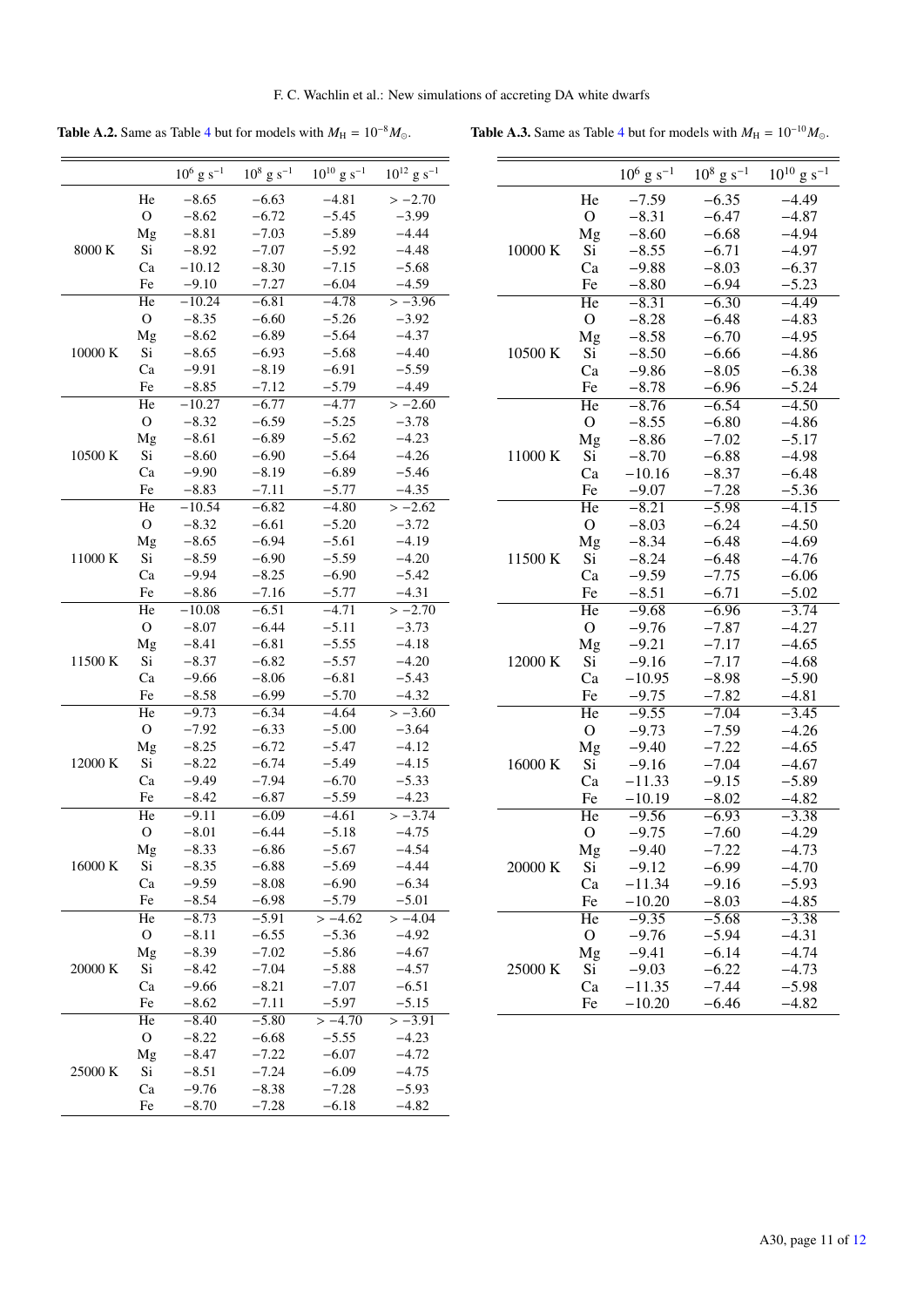Table A.2. Same as Table 4 but for models with  $M_H = 10^{-8} M_{\odot}$ . Table A.3. Same as Table 4 but for models with  $M_H = 10^{-10} M_{\odot}$ .

|         |              | $10^6$ g s <sup>-1</sup> | $10^8$ g s <sup>-1</sup> | $10^{10}$ g s <sup>-1</sup> | $10^{12}$ g s <sup>-1</sup> |
|---------|--------------|--------------------------|--------------------------|-----------------------------|-----------------------------|
|         | He           | $-8.65$                  | $-6.63$                  | $-4.81$                     | $>-2.70$                    |
|         | $\mathbf{O}$ | $-8.62$                  | $-6.72$                  | $-5.45$                     | $-3.99$                     |
|         | Mg           | $-8.81$                  | $-7.03$                  | $-5.89$                     | $-4.44$                     |
| 8000 K  | Si           | $-8.92$                  | $-7.07$                  | $-5.92$                     | $-4.48$                     |
|         | Ca           | $-10.12$                 | $-8.30$                  | $-7.15$                     | $-5.68$                     |
|         | Fe           | $-9.10$                  | $-7.27$                  | $-6.04$                     | $-4.59$                     |
|         | He           | $-10.24$                 | $-6.81$                  | $-4.78$                     | $> -3.96$                   |
|         | $\mathbf{O}$ | $-8.35$                  | $-6.60$                  | $-5.26$                     | $-3.92$                     |
|         | Mg           | $-8.62$                  | $-6.89$                  | $-5.64$                     | $-4.37$                     |
| 10000 K | Si           | $-8.65$                  | $-6.93$                  | $-5.68$                     | $-4.40$                     |
|         | Ca           | $-9.91$                  | $-8.19$                  | $-6.91$                     | $-5.59$                     |
|         | Fe           | $-8.85$                  | $-7.12$                  | $-5.79$                     | $-4.49$                     |
|         | He           | $-10.27$                 | $-6.77$                  | $-4.77$                     | $>-2.60$                    |
|         | $\mathbf O$  | $-8.32$                  | $-6.59$                  | $-5.25$                     | $-3.78$                     |
|         | Mg           | $-8.61$                  | $-6.89$                  | $-5.62$                     | $-4.23$                     |
| 10500 K | Si           | $-8.60$                  | $-6.90$                  | $-5.64$                     | $-4.26$                     |
|         | Ca           | $-9.90$                  | $-8.19$                  | $-6.89$                     | $-5.46$                     |
|         | Fe           | $-8.83$                  | $-7.11$                  | $-5.77$                     | $-4.35$                     |
|         | He           | $-10.54$                 | $-6.82$                  | $-4.80$                     | $>-2.62$                    |
|         | $\mathbf{O}$ | $-8.32$                  | $-6.61$                  | $-5.20$                     | $-3.72$                     |
|         | Mg           | $-8.65$                  | $-6.94$                  | $-5.61$                     | $-4.19$                     |
| 11000 K | Si           | $-8.59$                  | $-6.90$                  | $-5.59$                     | $-4.20$                     |
|         | Ca           | $-9.94$                  | $-8.25$                  | $-6.90$                     | $-5.42$                     |
|         | Fe           | $-8.86$                  | $-7.16$                  | $-5.77$                     | $-4.31$                     |
|         | He           | $-10.08$                 | $-6.51$                  | $-4.71$                     | $>-2.70$                    |
|         | $\mathbf O$  | $-8.07$                  | $-6.44$                  | $-5.11$                     | $-3.73$                     |
|         | Mg           | $-8.41$                  | $-6.81$                  | $-5.55$                     | $-4.18$                     |
| 11500 K | Si           | $-8.37$                  | $-6.82$                  | $-5.57$                     | $-4.20$                     |
|         | Ca           | $-9.66$                  | $-8.06$                  | $-6.81$                     | $-5.43$                     |
|         | Fe           | $-8.58$                  | $-6.99$                  | $-5.70$                     | $-4.32$                     |
|         | He           | $-9.73$                  | $-6.34$                  | $-4.64$                     | $>-3.60$                    |
|         | $\mathbf O$  | $-7.92$                  | $-6.33$                  | $-5.00$                     | $-3.64$                     |
|         | Mg           | $-8.25$                  | $-6.72$                  | $-5.47$                     | $-4.12$                     |
| 12000 K | Si           | $-8.22$                  | $-6.74$                  | $-5.49$                     | $-4.15$                     |
|         | Ca           | $-9.49$                  | $-7.94$                  | $-6.70$                     | $-5.33$                     |
|         | Fe           | $-8.42$                  | $-6.87$                  | $-5.59$                     | $-4.23$                     |
|         | He           | $-9.11$                  | $-6.09$                  | $-4.61$                     | $>-3.74$                    |
|         | $\mathbf O$  | $-8.01$                  | $-6.44$                  | $-5.18$                     | $-4.75$                     |
|         | Mg           | $-8.33$                  | $-6.86$                  | $-5.67$                     | $-4.54$                     |
| 16000 K | Si           | $-8.35$                  | $-6.88$                  | $-5.69$                     | $-4.44$                     |
|         | Ca           | $-9.59$                  | $-8.08$                  | $-6.90$                     | $-6.34$                     |
|         | Fe           | $-8.54$                  | $-6.98$                  | $-5.79$                     | $-5.01$                     |
|         | He           | $-8.73$                  | $-5.91$                  | $>-4.62$                    | $>-4.04$                    |
|         | $\mathbf O$  | $-8.11$                  | $-6.55$                  | $-5.36$                     | $-4.92$                     |
|         | Mg           | $-8.39$                  | $-7.02$                  | $-5.86$                     | $-4.67$                     |
| 20000 K | Si           | $-8.42$                  | $-7.04$                  | $-5.88$                     | $-4.57$                     |
|         | Ca           | $-9.66$                  | $-8.21$                  | $-7.07$                     | $-6.51$                     |
|         | Fe           | $-8.62$                  | $-7.11$                  | $-5.97$                     | $-5.15$                     |
|         | He           | $-8.40$                  | $-5.80$                  | $\frac{-4.70}{2}$           | $>-3.91$                    |
|         | $\mathbf O$  | $-8.22$                  | $-6.68$                  | $-5.55$                     | $-4.23$                     |
|         | Mg           | $-8.47$                  | $-7.22$                  | $-6.07$                     | $-4.72$                     |
| 25000 K | Si           | $-8.51$                  | $-7.24$                  | $-6.09$                     | $-4.75$                     |
|         | Ca           | $-9.76$                  | $-8.38$                  | $-7.28$                     | $-5.93$                     |
|         | Fe           | $-8.70$                  | $-7.28$                  | $-6.18$                     | $-4.82$                     |
|         |              |                          |                          |                             |                             |

|         |                        | $10^6$ g s <sup>-1</sup> | $10^8$ g s <sup>-1</sup> | $10^{10}$ g s <sup>-1</sup> |
|---------|------------------------|--------------------------|--------------------------|-----------------------------|
|         | He                     | $-7.59$                  | $-6.35$                  | -4.49                       |
|         | $\mathcal{O}$          | $-8.31$                  | $-6.47$                  | $-4.87$                     |
|         | Mg                     | $-8.60$                  | $-6.68$                  | $-4.94$                     |
| 10000 K | Si                     | $-8.55$                  | $-6.71$                  | $-4.97$                     |
|         | Ca                     | $-9.88$                  | $-8.03$                  | $-6.37$                     |
|         | Fe                     | $-8.80$                  | $-6.94$                  | $-5.23$                     |
|         | He                     | $-8.31$                  | $-6.30$                  | $-4.49$                     |
|         | $\overline{O}$         | $-8.28$                  | $-6.48$                  | $-4.83$                     |
|         | Mg                     | $-8.58$                  | $-6.70$                  | $-4.95$                     |
| 10500 K | Si                     | $-8.50$                  | $-6.66$                  | $-4.86$                     |
|         | Ca                     | $-9.86$                  | $-8.05$                  | $-6.38$                     |
|         | Fe                     | $-8.78$                  | $-6.96$                  | $-5.24$                     |
|         | He                     | $-8.76$                  | $-6.54$                  | $-4.50$                     |
|         | $\mathcal{O}$          | $-8.55$                  | $-6.80$                  | $-4.86$                     |
|         | Mg                     | $-8.86$                  | $-7.02$                  | $-5.17$                     |
| 11000 K | Si                     | $-8.70$                  | $-6.88$                  | $-4.98$                     |
|         | Ca                     | $-10.16$                 | $-8.37$                  | $-6.48$                     |
|         | Fe                     | $-9.07$                  | $-7.28$                  | $-5.36$                     |
|         | He                     | $-8.21$                  | $-5.98$                  | $-4.15$                     |
|         | $\overline{O}$         | $-8.03$                  | $-6.24$                  | $-4.50$                     |
|         | Mg                     | $-8.34$                  | $-6.48$                  | $-4.69$                     |
| 11500 K | Si                     | $-8.24$                  | $-6.48$                  | $-4.76$                     |
|         | Ca                     | $-9.59$                  | $-7.75$                  | $-6.06$                     |
|         | Fe                     | $-8.51$                  | $-6.71$                  | $-5.02$                     |
|         | $\overline{\text{He}}$ | $-9.68$                  | $-6.96$                  | $-3.74$                     |
|         | $\mathcal{O}$          | $-9.76$                  | $-7.87$                  | $-4.27$                     |
|         | Mg                     | $-9.21$                  | $-7.17$                  | $-4.65$                     |
| 12000 K | Si                     | $-9.16$                  | $-7.17$                  | $-4.68$                     |
|         | Ca                     | $-10.95$                 | $-8.98$                  | $-5.90$                     |
|         | Fe                     | $-9.75$                  | $-7.82$                  | $-4.81$                     |
|         | $\overline{He}$        | $-9.55$                  | $-7.04$                  | $-3.45$                     |
|         | O                      | $-9.73$                  | $-7.59$                  | -4.26                       |
|         | Mg                     | $-9.40$                  | $-7.22$                  | $-4.65$                     |
| 16000 K | Si                     | $-9.16$                  | $-7.04$                  | $-4.67$                     |
|         | Ca                     | $-11.33$                 | $-9.15$                  | $-5.89$                     |
|         | Fe                     | $-10.19$                 | $-8.02$                  | $-4.82$                     |
|         | He                     | $-9.56$                  | $-6.93$                  | $-3.38$                     |
|         | $\overline{O}$         | $-9.75$                  | $-7.60$                  | $-4.29$                     |
|         | Mg                     | $-9.40$                  | $-7.22$                  | -4.73                       |
| 20000 K | Si                     | $-9.12$                  | $-6.99$                  | $-4.70$                     |
|         | Ca                     | $-11.34$                 | $-9.16$                  | $-5.93$                     |
|         | Fe                     | $-10.20$                 | $-8.03$                  | $-4.85$                     |
|         | He                     | $-9.35$                  | $-5.68$                  | $-3.38$                     |
|         | O                      | $-9.76$                  | $-5.94$                  | $-4.31$                     |
|         | Mg                     | $-9.41$                  | $-6.14$                  | $-4.74$                     |
| 25000 K | Si                     | $-9.03$                  | $-6.22$                  | -4.73                       |
|         | Ca                     | $-11.35$                 | $-7.44$                  | $-5.98$                     |
|         | Fe                     | $-10.20$                 | $-6.46$                  | $-4.82$                     |
|         |                        |                          |                          |                             |